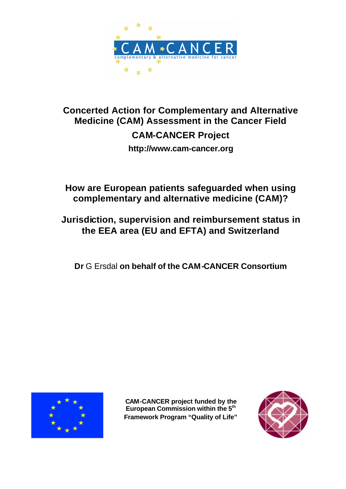

# **Concerted Action for Complementary and Alternative Medicine (CAM) Assessment in the Cancer Field CAM-CANCER Project http://www.cam-cancer.org**

# **How are European patients safeguarded when using complementary and alternative medicine (CAM)?**

# **Jurisdiction, supervision and reimbursement status in the EEA area (EU and EFTA) and Switzerland**

**Dr** G Ersdal **on behalf of the CAM-CANCER Consortium**



**CAM-CANCER project funded by the European Commission within the 5th Framework Program "Quality of Life"**

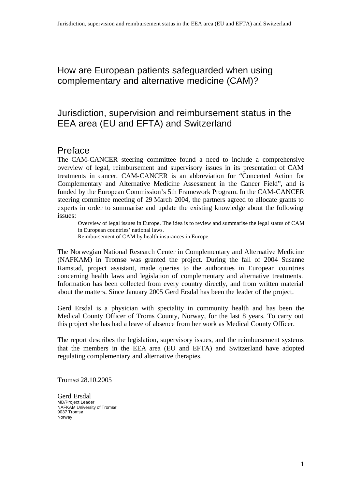How are European patients safeguarded when using complementary and alternative medicine (CAM)?

## Jurisdiction, supervision and reimbursement status in the EEA area (EU and EFTA) and Switzerland

## Preface

The CAM-CANCER steering committee found a need to include a comprehensive overview of legal, reimbursement and supervisory issues in its presentation of CAM treatments in cancer. CAM-CANCER is an abbreviation for "Concerted Action for Complementary and Alternative Medicine Assessment in the Cancer Field", and is funded by the European Commission's 5th Framework Program. In the CAM-CANCER steering committee meeting of 29 March 2004, the partners agreed to allocate grants to experts in order to summarise and update the existing knowledge about the following issues:

Overview of legal issues in Europe. The idea is to review and summarise the legal status of CAM in European countries' national laws. Reimbursement of CAM by health insurances in Europe.

The Norwegian National Research Center in Complementary and Alternative Medicine (NAFKAM) in Tromsø was granted the project. During the fall of 2004 Susanne Ramstad, project assistant, made queries to the authorities in European countries concerning health laws and legislation of complementary and alternative treatments. Information has been collected from every country directly, and from written material about the matters. Since January 2005 Gerd Ersdal has been the leader of the project.

Gerd Ersdal is a physician with speciality in community health and has been the Medical County Officer of Troms County, Norway, for the last 8 years. To carry out this project she has had a leave of absence from her work as Medical County Officer.

The report describes the legislation, supervisory issues, and the reimbursement systems that the members in the EEA area (EU and EFTA) and Switzerland have adopted regulating complementary and alternative therapies.

Tromsø 28.10.2005

Gerd Ersdal MD/Project Leader NAFKAM University of Tromsø 9037 Tromsø Norway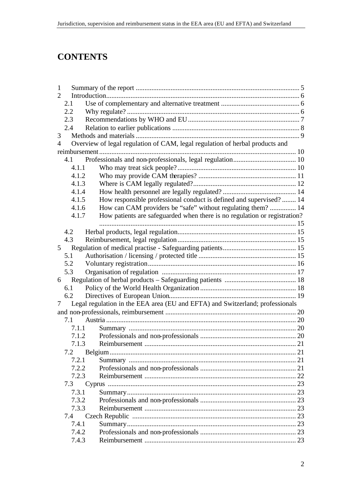# **CONTENTS**

| $\mathbf{1}$   |       |                                                                               |  |
|----------------|-------|-------------------------------------------------------------------------------|--|
| 2              |       |                                                                               |  |
|                | 2.1   |                                                                               |  |
|                | 2.2   |                                                                               |  |
|                | 2.3   |                                                                               |  |
|                | 2.4   |                                                                               |  |
| 3              |       |                                                                               |  |
| $\overline{4}$ |       | Overview of legal regulation of CAM, legal regulation of herbal products and  |  |
|                |       |                                                                               |  |
|                | 4.1   |                                                                               |  |
|                | 4.1.1 |                                                                               |  |
|                | 4.1.2 |                                                                               |  |
|                | 4.1.3 |                                                                               |  |
|                | 4.1.4 |                                                                               |  |
|                | 4.1.5 | How responsible professional conduct is defined and supervised? 14            |  |
|                | 4.1.6 | How can CAM providers be "safe" without regulating them?  14                  |  |
|                | 4.1.7 | How patients are safeguarded when there is no regulation or registration?     |  |
|                |       |                                                                               |  |
|                | 4.2   |                                                                               |  |
|                | 4.3   |                                                                               |  |
| $5^{\circ}$    |       |                                                                               |  |
|                | 5.1   |                                                                               |  |
|                | 5.2   |                                                                               |  |
|                | 5.3   |                                                                               |  |
| 6              |       |                                                                               |  |
|                | 6.1   |                                                                               |  |
|                | 6.2   |                                                                               |  |
| 7              |       | Legal regulation in the EEA area (EU and EFTA) and Switzerland; professionals |  |
|                |       |                                                                               |  |
|                | 7.1   |                                                                               |  |
|                | 7.1.1 |                                                                               |  |
|                | 7.1.2 |                                                                               |  |
|                | 7.1.3 | Reimbursement                                                                 |  |
|                | 7.2   |                                                                               |  |
|                | 7.2.1 |                                                                               |  |
|                | 7.2.2 |                                                                               |  |
|                | 7.2.3 |                                                                               |  |
|                | 7.3   |                                                                               |  |
|                | 7.3.1 |                                                                               |  |
|                | 7.3.2 |                                                                               |  |
|                | 7.3.3 |                                                                               |  |
|                | 7.4   |                                                                               |  |
|                | 7.4.1 |                                                                               |  |
|                | 7.4.2 |                                                                               |  |
|                | 7.4.3 |                                                                               |  |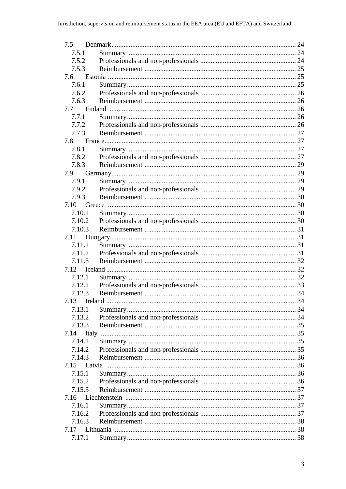| 7.5          |      |  |
|--------------|------|--|
| 7.5.1        |      |  |
| 7.5.2        |      |  |
| 7.5.3        |      |  |
| 7.6          |      |  |
| 7.6.1        |      |  |
| 7.6.2        |      |  |
| 7.6.3        |      |  |
| 7.7          |      |  |
| 7.7.1        |      |  |
| 7.7.2        |      |  |
| 7.7.3        |      |  |
| 7.8          |      |  |
| 7.8.1        |      |  |
| 7.8.2        |      |  |
| 7.8.3        |      |  |
|              |      |  |
| 7.9          |      |  |
| 7.9.1        |      |  |
| 7.9.2        |      |  |
| 7.9.3        |      |  |
| 7.10         |      |  |
| 7.10.1       |      |  |
| 7.10.2       |      |  |
| 7.10.3       |      |  |
| 7.11         |      |  |
| 7.11.1       |      |  |
| 7.11.2       |      |  |
| 7.11.3       |      |  |
| 7.12         |      |  |
| 7.12.1       |      |  |
|              |      |  |
| 7.12.3       |      |  |
| 7.13 Ireland | . 34 |  |
| 7.13.1       |      |  |
| 7.13.2       |      |  |
| 7.13.3       |      |  |
| 7.14         |      |  |
| 7.14.1       |      |  |
| 7.14.2       |      |  |
| 7.14.3       |      |  |
|              |      |  |
| 7.15.1       |      |  |
| 7.15.2       |      |  |
| 7.15.3       |      |  |
| 7.16         |      |  |
| 7.16.1       |      |  |
| 7.16.2       |      |  |
| 7.16.3       |      |  |
|              |      |  |
| 7.17         |      |  |
| 7.17.1       |      |  |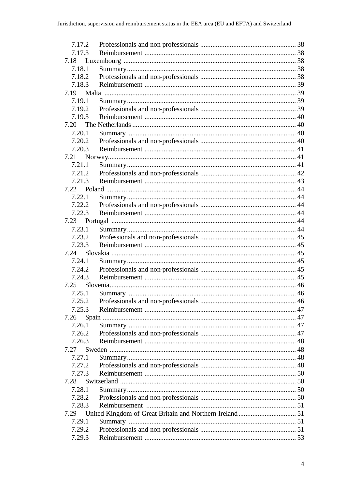| 7.17.2 |  |
|--------|--|
| 7.17.3 |  |
| 7.18   |  |
| 7.18.1 |  |
| 7.18.2 |  |
| 7.18.3 |  |
| 7.19   |  |
| 7.19.1 |  |
| 7.19.2 |  |
| 7.19.3 |  |
| 7.20   |  |
| 7.20.1 |  |
| 7.20.2 |  |
| 7.20.3 |  |
| 7.21   |  |
| 7.21.1 |  |
| 7.21.2 |  |
| 7.21.3 |  |
|        |  |
| 7.22.1 |  |
| 7.22.2 |  |
| 7.22.3 |  |
|        |  |
| 7.23.1 |  |
| 7.23.2 |  |
| 7.23.3 |  |
| 7.24   |  |
| 7.24.1 |  |
|        |  |
| 7.24.3 |  |
| 7.25   |  |
| 7.25.1 |  |
| 7.25.2 |  |
| 7.25.3 |  |
| 7.26   |  |
| 7.26.1 |  |
| 7.26.2 |  |
| 7.26.3 |  |
| 7.27   |  |
| 7.27.1 |  |
| 7.27.2 |  |
| 7.27.3 |  |
| 7.28   |  |
| 7.28.1 |  |
| 7.28.2 |  |
| 7.28.3 |  |
| 7.29   |  |
| 7.29.1 |  |
| 7.29.2 |  |
| 7.29.3 |  |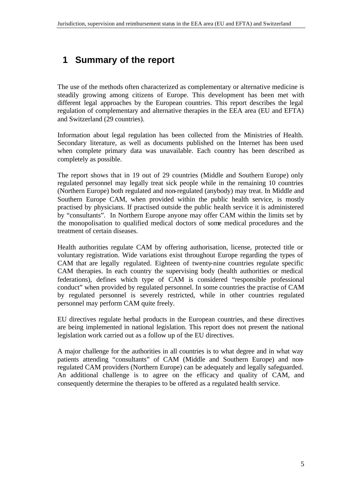# **1 Summary of the report**

The use of the methods often characterized as complementary or alternative medicine is steadily growing among citizens of Europe. This development has been met with different legal approaches by the European countries. This report describes the legal regulation of complementary and alternative therapies in the EEA area (EU and EFTA) and Switzerland (29 countries).

Information about legal regulation has been collected from the Ministries of Health. Secondary literature, as well as documents published on the Internet has been used when complete primary data was unavailable. Each country has been described as completely as possible.

The report shows that in 19 out of 29 countries (Middle and Southern Europe) only regulated personnel may legally treat sick people while in the remaining 10 countries (Northern Europe) both regulated and non-regulated (anybody) may treat. In Middle and Southern Europe CAM, when provided within the public health service, is mostly practised by physicians. If practised outside the public health service it is administered by "consultants". In Northern Europe anyone may offer CAM within the limits set by the monopolisation to qualified medical doctors of some medical procedures and the treatment of certain diseases.

Health authorities regulate CAM by offering authorisation, license, protected title or voluntary registration. Wide variations exist throughout Europe regarding the types of CAM that are legally regulated. Eighteen of twenty-nine countries regulate specific CAM therapies. In each country the supervising body (health authorities or medical federations), defines which type of CAM is considered "responsible professional conduct" when provided by regulated personnel. In some countries the practise of CAM by regulated personnel is severely restricted, while in other countries regulated personnel may perform CAM quite freely.

EU directives regulate herbal products in the European countries, and these directives are being implemented in national legislation. This report does not present the national legislation work carried out as a follow up of the EU directives.

A major challenge for the authorities in all countries is to what degree and in what way patients attending "consultants" of CAM (Middle and Southern Europe) and nonregulated CAM providers (Northern Europe) can be adequately and legally safeguarded. An additional challenge is to agree on the efficacy and quality of CAM, and consequently determine the therapies to be offered as a regulated health service.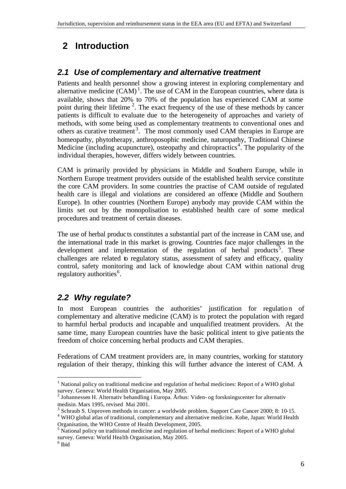# **2 Introduction**

## *2.1 Use of complementary and alternative treatment*

Patients and health personnel show a growing interest in exploring complementary and alternative medicine  $(CAM)^1$ . The use of CAM in the European countries, where data is available, shows that 20% to 70% of the population has experienced CAM at some point during their lifetime  $2$ . The exact frequency of the use of these methods by cancer patients is difficult to evaluate due to the heterogeneity of approaches and variety of methods, with some being used as complementary treatments to conventional ones and others as curative treatment<sup>3</sup>. The most commonly used CAM therapies in Europe are homeopathy, phytotherapy, anthroposophic medicine, naturopathy, Traditional Chinese Medicine (including acupuncture), osteopathy and chiropractics<sup>4</sup>. The popularity of the individual therapies, however, differs widely between countries.

CAM is primarily provided by physicians in Middle and Southern Europe, while in Northern Europe treatment providers outside of the established health service constitute the core CAM providers. In some countries the practise of CAM outside of regulated health care is illegal and violations are considered an offence (Middle and Southern Europe). In other countries (Northern Europe) anybody may provide CAM within the limits set out by the monopolisation to established health care of some medical procedures and treatment of certain diseases.

The use of herbal produc ts constitutes a substantial part of the increase in CAM use, and the international trade in this market is growing. Countries face major challenges in the development and implementation of the regulation of herbal products<sup>5</sup>. These challenges are related to regulatory status, assessment of safety and efficacy, quality control, safety monitoring and lack of knowledge about CAM within national drug regulatory authorities<sup>6</sup>.

## *2.2 Why regulate?*

In most European countries the authorities' justification for regulation of complementary and alterative medicine (CAM) is to protect the population with regard to harmful herbal products and incapable and unqualified treatment providers. At the same time, many European countries have the basic political intent to give patients the freedom of choice concerning herbal products and CAM therapies.

Federations of CAM treatment providers are, in many countries, working for statutory regulation of their therapy, thinking this will further advance the interest of CAM. A

<sup>&</sup>lt;sup>1</sup> National policy on traditional medicine and regulation of herbal medicines: Report of a WHO global survey. Geneva: World Health Organisation, May 2005.

<sup>&</sup>lt;sup>2</sup> Johannessen H. Alternativ behandling i Europa. Århus: Viden- og forskningscenter for alternativ medisin. Mars 1995, revised Mai 2001.

<sup>3</sup> Schraub S. Unproven methods in cancer: a worldwide problem. Support Care Cancer 2000; 8: 10-15.

<sup>4</sup> WHO global atlas of traditional, complementary and alternative medicine. Kobe, Japan: World Health Organisation, the WHO Centre of Health Development, 2005.

National policy on traditional medicine and regulation of herbal medicines: Report of a WHO global survey. Geneva: World Health Organisation, May 2005.

<sup>6</sup> Ibid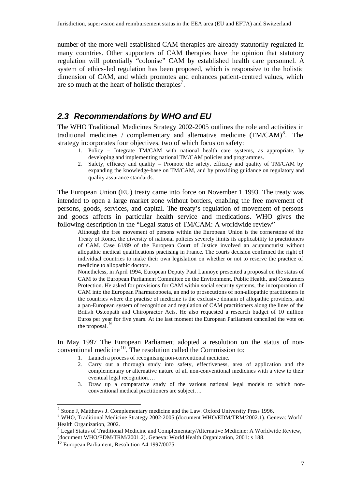number of the more well established CAM therapies are already statutorily regulated in many countries. Other supporters of CAM therapies have the opinion that statutory regulation will potentially "colonise" CAM by established health care personnel. A system of ethics-led regulation has been proposed, which is responsive to the holistic dimension of CAM, and which promotes and enhances patient-centred values, which are so much at the heart of holistic therapies<sup>7</sup>.

## *2.3 Recommendations by WHO and EU*

The WHO Traditional Medicines Strategy 2002-2005 outlines the role and activities in traditional medicines / complementary and alternative medicine  $(TM/CAM)^8$ . The strategy incorporates four objectives, two of which focus on safety:

- 1. Policy Integrate TM/CAM with national health care systems, as appropriate, by developing and implementing national TM/CAM policies and programmes.
- 2. Safety, efficacy and quality Promote the safety, efficacy and quality of TM/CAM by expanding the knowledge-base on TM/CAM, and by providing guidance on regulatory and quality assurance standards.

The European Union (EU) treaty came into force on November 1 1993. The treaty was intended to open a large market zone without borders, enabling the free movement of persons, goods, services, and capital. The treaty's regulation of movement of persons and goods affects in particular health service and medications. WHO gives the following description in the "Legal status of TM/CAM: A worldwide review"

Although the free movement of persons within the European Union is the cornerstone of the Treaty of Rome, the diversity of national policies severely limits its applicability to practitioners of CAM. Case 61/89 of the European Court of Justice involved an acupuncturist without allopathic medical qualifications practising in France. The courts decision confirmed the right of individual countries to make their own legislation on whether or not to reserve the practice of medicine to allopathic doctors.

Nonetheless, in April 1994, European Deputy Paul Lannoye presented a proposal on the status of CAM to the European Parliament Committee on the Environment, Public Health, and Consumers Protection. He asked for provisions for CAM within social security systems, the incorporation of CAM into the European Pharmacopoeia, an end to prosecutions of non-allopathic practitioners in the countries where the practise of medicine is the exclusive domain of allopathic providers, and a pan-European system of recognition and regulation of CAM practitioners along the lines of the Britis h Osteopath and Chiropractor Acts. He also requested a research budget of 10 million Euros per year for five years. At the last moment the European Parliament cancelled the vote on the proposal.

In May 1997 The European Parliament adopted a resolution on the status of nonconventional medicine <sup>10</sup>. The resolution called the Commission to:

- 1. Launch a process of recognising non-conventional medicine.
- 2. Carry out a thorough study into safety, effectiveness, area of application and the complementary or alternative nature of all non-conventional medicines with a view to their eventual legal recognition….
- 3. Draw up a comparative study of the various national legal models to which nonconventional medical practitioners are subject….

 $^7$  Stone J, Matthews J. Complementary medicine and the Law. Oxford University Press 1996.

<sup>&</sup>lt;sup>8</sup> WHO, Traditional Medicine Strategy 2002-2005 (document WHO/EDM/TRM/2002.1). Geneva: World Health Organization, 2002.

 $9 \text{ Legal Status of Traditional Medicine and Complementary/Alternative Medicine: A Worldwide Review, }$ (document WHO/EDM/TRM/2001.2). Geneva: World Health Organization, 2001: s 188.

<sup>&</sup>lt;sup>10</sup> European Parliament, Resolution A4 1997/0075.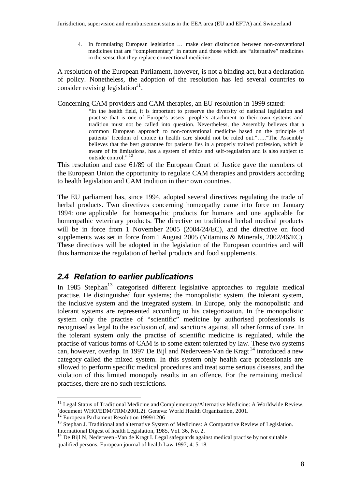4. In formulating European legislation … make clear distinction between non-conventional medicines that are "complementary" in nature and those which are "alternative" medicines in the sense that they replace conventional medicine…

A resolution of the European Parliament, however, is not a binding act, but a declaration of policy. Nonetheless, the adoption of the resolution has led several countries to consider revising legislation $11$ .

Concerning CAM providers and CAM therapies, an EU resolution in 1999 stated:

"In the health field, it is important to preserve the diversity of national legislation and practise that is one of Europe's assets: people's attachment to their own systems and tradition must not be called into question. Nevertheless, the Assembly believes that a common European approach to non-conventional medicine based on the principle of patients' freedom of choice in health care should not be ruled out."….."The Assembly believes that the best guarantee for patients lies in a properly trained profession, which is aware of its limitations, has a system of ethics and self-regulation and is also subject to outside control."<sup>12</sup>

This resolution and case 61/89 of the European Court of Justice gave the members of the European Union the opportunity to regulate CAM therapies and providers according to health legislation and CAM tradition in their own countries.

The EU parliament has, since 1994, adopted several directives regulating the trade of herbal products. Two directives concerning homeopathy came into force on January 1994: one applicable for homeopathic products for humans and one applicable for homeopathic veterinary products. The directive on traditional herbal medical products will be in force from 1 November 2005 (2004/24/EC), and the directive on food supplements was set in force from 1 August 2005 (Vitamins & Minerals, 2002/46/EC). These directives will be adopted in the legislation of the European countries and will thus harmonize the regulation of herbal products and food supplements.

## *2.4 Relation to earlier publications*

In 1985 Stephan<sup>13</sup> categorised different legislative approaches to regulate medical practise. He distinguished four systems; the monopolistic system, the tolerant system, the inclusive system and the integrated system. In Europe, only the monopolistic and tolerant systems are represented according to his categorization. In the monopolistic system only the practise of "scientific" medicine by authorised professionals is recognised as legal to the exclusion of, and sanctions against, all other forms of care. In the tolerant system only the practise of scientific medicine is regulated, while the practise of various forms of CAM is to some extent tolerated by law. These two systems can, however, overlap. In 1997 De Bijl and Nederveen-Van de Kragt<sup>14</sup> introduced a new category called the mixed system. In this system only health care professionals are allowed to perform specific medical procedures and treat some serious diseases, and the violation of this limited monopoly results in an offence. For the remaining medical practises, there are no such restrictions.

 $11$  Legal Status of Traditional Medicine and Complementary/Alternative Medicine: A Worldwide Review, (document WHO/EDM/TRM/2001.2). Geneva: World Health Organization, 2001.

<sup>&</sup>lt;sup>12</sup> European Parliament Resolution 1999/1206

<sup>&</sup>lt;sup>13</sup> Stephan J. Traditional and alternative System of Medicines: A Comparative Review of Legislation. International Digest of health Legislation, 1985, Vol. 36, No. 2.

<sup>&</sup>lt;sup>14</sup> De Bijl N, Nederveen - Van de Kragt I. Legal safeguards against medical practise by not suitable qualified persons. European journal of health Law 1997; 4: 5-18.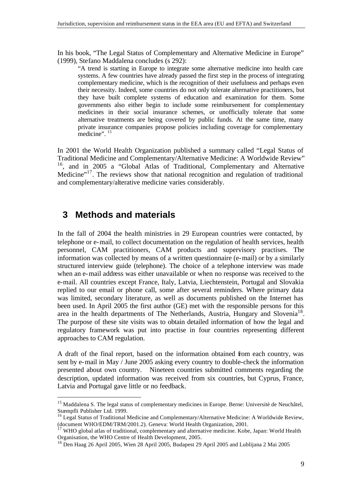In his book, "The Legal Status of Complementary and Alternative Medicine in Europe" (1999), Stefano Maddalena concludes (s 292):

"A trend is starting in Europe to integrate some alternative medicine into health care systems. A few countries have already passed the first step in the process of integrating complementary medicine, which is the recognition of their usefulness and perhaps even their necessity. Indeed, some countries do not only tolerate alternative practitioners, but they have built complete systems of education and examination for them. Some governments also either begin to include some reimbursement for complementary medicines in their social insurance schemes, or unofficially tolerate that some alternative treatments are being covered by public funds. At the same time, many private insurance companies propose policies including coverage for complementary medicine". <sup>15</sup>

In 2001 the World Health Organization published a summary called "Legal Status of Traditional Medicine and Complementary/Alternative Medicine: A Worldwide Review" <sup>16</sup>, and in 2005 a "Global Atlas of Traditional, Complementary and Alternative Medicine"<sup>17</sup>. The reviews show that national recognition and regulation of traditional and complementary/alterative medicine varies considerably.

## **3 Methods and materials**

l

In the fall of 2004 the health ministries in 29 European countries were contacted, by telephone or e-mail, to collect documentation on the regulation of health services, health personnel, CAM practitioners, CAM products and supervisory practises. The information was collected by means of a written questionnaire (e-mail) or by a similarly structured interview guide (telephone). The choice of a telephone interview was made when an e-mail address was either unavailable or when no response was received to the e-mail. All countries except France, Italy, Latvia, Liechtenstein, Portugal and Slovakia replied to our email or phone call, some after several reminders. Where primary data was limited, secondary literature, as well as documents published on the Internet has been used. In April 2005 the first author (GE) met with the responsible persons for this area in the health departments of The Netherlands, Austria, Hungary and Slovenia<sup>18</sup>. The purpose of these site visits was to obtain detailed information of how the legal and regulatory framework was put into practise in four countries representing different approaches to CAM regulation.

A draft of the final report, based on the information obtained from each country, was sent by e-mail in May / June 2005 asking every country to double-check the information presented about own country. Nineteen countries submitted comments regarding the description, updated information was received from six countries, but Cyprus, France, Latvia and Portugal gave little or no feedback.

<sup>&</sup>lt;sup>15</sup> Maddalena S. The legal status of complementary medicines in Europe. Berne: Universitè de Neuchâtel, Stæmpfli Publisher Ltd. 1999.

<sup>&</sup>lt;sup>16</sup> Legal Status of Traditional Medicine and Complementary/Alternative Medicine: A Worldwide Review, (document WHO/EDM/TRM/2001.2). Geneva: World Health Organization, 2001.

WHO global atlas of traditional, complementary and alternative medicine. Kobe, Japan: World Health Organisation, the WHO Centre of Health Development, 2005.

<sup>&</sup>lt;sup>18</sup> Den Haag 26 April 2005, Wien 28 April 2005, Budapest 29 April 2005 and Lublijana 2 Mai 2005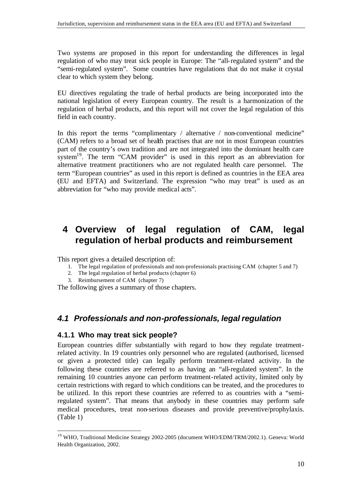Two systems are proposed in this report for understanding the differences in legal regulation of who may treat sick people in Europe: The "all-regulated system" and the "semi-regulated system". Some countries have regulations that do not make it crystal clear to which system they belong.

EU directives regulating the trade of herbal products are being incorporated into the national legislation of every European country. The result is a harmonization of the regulation of herbal products, and this report will not cover the legal regulation of this field in each country.

In this report the terms "complimentary / alternative / non-conventional medicine" (CAM) refers to a broad set of health practises that are not in most European countries part of the country's own tradition and are not integrated into the dominant health care system<sup>19</sup>. The term "CAM provider" is used in this report as an abbreviation for alternative treatment practitioners who are not regulated health care personnel. The term "European countries" as used in this report is defined as countries in the EEA area (EU and EFTA) and Switzerland. The expression "who may treat" is used as an abbreviation for "who may provide medical acts".

# **4 Overview of legal regulation of CAM, legal regulation of herbal products and reimbursement**

This report gives a detailed description of:

- 1. The legal regulation of professionals and non-professionals practising CAM (chapter 5 and 7)
- 2. The legal regulation of herbal products (chapter 6)
- 3. Reimbursement of CAM (chapter 7)

The following gives a summary of those chapters.

## *4.1 Professionals and non-professionals, legal regulation*

#### **4.1.1 Who may treat sick people?**

l

European countries differ substantially with regard to how they regulate treatmentrelated activity. In 19 countries only personnel who are regulated (authorised, licensed or given a protected title) can legally perform treatment-related activity. In the following these countries are referred to as having an "all-regulated system". In the remaining 10 countries anyone can perform treatment-related activity, limited only by certain restrictions with regard to which conditions can be treated, and the procedures to be utilized. In this report these countries are referred to as countries with a "semiregulated system". That means that anybody in these countries may perform safe medical procedures, treat non-serious diseases and provide preventive/prophylaxis. (Table 1)

<sup>&</sup>lt;sup>19</sup> WHO, Traditional Medicine Strategy 2002-2005 (document WHO/EDM/TRM/2002.1). Geneva: World Health Organization, 2002.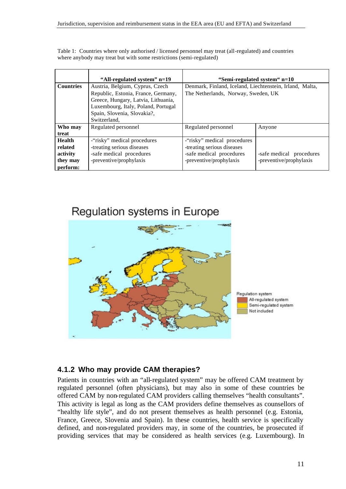|                                  | "All-regulated system" n=19                                                                                               | "Semi-regulated system" n=10                                                                    |                                                     |  |  |  |
|----------------------------------|---------------------------------------------------------------------------------------------------------------------------|-------------------------------------------------------------------------------------------------|-----------------------------------------------------|--|--|--|
| <b>Countries</b>                 | Austria, Belgium, Cyprus, Czech<br>Republic, Estonia, France, Germany,                                                    | Denmark, Finland, Iceland, Liechtenstein, Irland, Malta,<br>The Netherlands, Norway, Sweden, UK |                                                     |  |  |  |
|                                  | Greece, Hungary, Latvia, Lithuania,<br>Luxembourg, Italy, Poland, Portugal<br>Spain, Slovenia, Slovakia?,<br>Switzerland, |                                                                                                 |                                                     |  |  |  |
| Who may<br>treat                 | Regulated personnel                                                                                                       | Regulated personnel                                                                             | Anyone                                              |  |  |  |
| Health<br>related                | -"risky" medical procedures<br>-treating serious diseases                                                                 | -"risky" medical procedures<br>-treating serious diseases                                       |                                                     |  |  |  |
| activity<br>they may<br>perform: | -safe medical procedures<br>-preventive/prophylaxis                                                                       | -safe medical procedures<br>-preventive/prophylaxis                                             | -safe medical procedures<br>-preventive/prophylaxis |  |  |  |

Table 1: Countries where only authorised / licensed personnel may treat (all-regulated) and countries where anybody may treat but with some restrictions (semi-regulated)

# Regulation systems in Europe



## **4.1.2 Who may provide CAM therapies?**

Patients in countries with an "all-regulated system" may be offered CAM treatment by regulated personnel (often physicians), but may also in some of these countries be offered CAM by non-regulated CAM providers calling themselves "health consultants". This activity is legal as long as the CAM providers define themselves as counsellors of "healthy life style", and do not present themselves as health personnel (e.g. Estonia, France, Greece, Slovenia and Spain). In these countries, health service is specifically defined, and non-regulated providers may, in some of the countries, be prosecuted if providing services that may be considered as health services (e.g. Luxembourg). In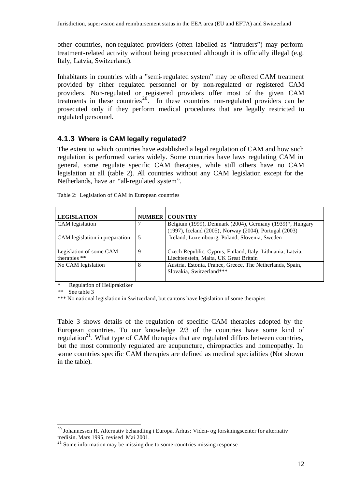other countries, non-regulated providers (often labelled as "intruders") may perform treatment-related activity without being prosecuted although it is officially illegal (e.g. Italy, Latvia, Switzerland).

Inhabitants in countries with a "semi-regulated system" may be offered CAM treatment provided by either regulated personnel or by non-regulated or registered CAM providers. Non-regulated or registered providers offer most of the given CAM treatments in these countries<sup>20</sup>. In these countries non-regulated providers can be prosecuted only if they perform medical procedures that are legally restricted to regulated personnel.

#### **4.1.3 Where is CAM legally regulated?**

The extent to which countries have established a legal regulation of CAM and how such regulation is performed varies widely. Some countries have laws regulating CAM in general, some regulate specific CAM therapies, while still others have no CAM legislation at all (table 2). All countries without any CAM legislation except for the Netherlands, have an "all-regulated system".

| <b>LEGISLATION</b>                      |   | <b>NUMBER COUNTRY</b>                                                                                              |
|-----------------------------------------|---|--------------------------------------------------------------------------------------------------------------------|
| CAM legislation                         |   | Belgium (1999), Denmark (2004), Germany (1939)*, Hungary<br>(1997), Iceland (2005), Norway (2004), Portugal (2003) |
| CAM legislation in preparation          |   | Ireland, Luxembourg, Poland, Slovenia, Sweden                                                                      |
| Legislation of some CAM<br>therapies ** | 9 | Czech Republic, Cyprus, Finland, Italy, Lithuania, Latvia,<br>Liechtenstein, Malta, UK Great Britain               |
| No CAM legislation                      | 8 | Austria, Estonia, France, Greece, The Netherlands, Spain,<br>Slovakia, Switzerland***                              |

Table 2: Legislation of CAM in European countries

**Regulation of Heilpraktiker** 

\*\* See table 3

l

\*\*\* No national legislation in Switzerland, but cantons have legislation of some therapies

Table 3 shows details of the regulation of specific CAM therapies adopted by the European countries. To our knowledge  $2/3$  of the countries have some kind of regulation<sup>21</sup>. What type of CAM therapies that are regulated differs between countries, but the most commonly regulated are acupuncture, chiropractics and homeopathy. In some countries specific CAM therapies are defined as medical specialities (Not shown in the table).

 $^{20}$  Johannessen H. Alternativ behandling i Europa. Århus: Viden- og forskningscenter for alternativ medisin. Mars 1995, revised Mai 2001.

 $21$  Some information may be missing due to some countries missing response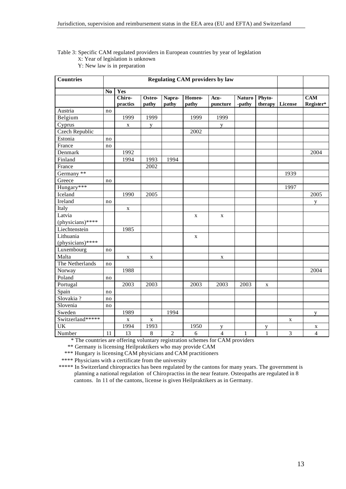#### Table 3: Specific CAM regulated providers in European countries by year of legislation X: Year of legislation is unknown Y: New law is in preparation

| <b>Countries</b> | <b>Regulating CAM providers by law</b> |             |             |                  |             |                |               |              |         |                |
|------------------|----------------------------------------|-------------|-------------|------------------|-------------|----------------|---------------|--------------|---------|----------------|
|                  | N <sub>0</sub>                         | Yes         |             |                  |             |                |               |              |         |                |
|                  |                                        | Chiro-      | Osteo-      | Napra-           | Homeo-      | Acu-           | <b>Naturo</b> | Phyto-       |         | <b>CAM</b>     |
|                  |                                        | practics    | pathy       | pathy            | pathy       | puncture       | -pathy        | therapy      | License | Register*      |
| Austria          | no                                     |             |             |                  |             |                |               |              |         |                |
| Belgium          |                                        | 1999        | 1999        |                  | 1999        | 1999           |               |              |         |                |
| Cyprus           |                                        | X           | y           |                  |             | y              |               |              |         |                |
| Czech Republic   |                                        |             |             |                  | 2002        |                |               |              |         |                |
| Estonia          | no                                     |             |             |                  |             |                |               |              |         |                |
| France           | no                                     |             |             |                  |             |                |               |              |         |                |
| Denmark          |                                        | 1992        |             |                  |             |                |               |              |         | 2004           |
| Finland          |                                        | 1994        | 1993        | 1994             |             |                |               |              |         |                |
| France           |                                        |             | 2002        |                  |             |                |               |              |         |                |
| Germany **       |                                        |             |             |                  |             |                |               |              | 1939    |                |
| Greece           | no                                     |             |             |                  |             |                |               |              |         |                |
| Hungary***       |                                        |             |             |                  |             |                |               |              | 1997    |                |
| Iceland          |                                        | 1990        | 2005        |                  |             |                |               |              |         | 2005           |
| Ireland          | no                                     |             |             |                  |             |                |               |              |         | y              |
| Italy            |                                        | $\mathbf X$ |             |                  |             |                |               |              |         |                |
| Latvia           |                                        |             |             |                  | X           | $\mathbf X$    |               |              |         |                |
| (physicians)**** |                                        |             |             |                  |             |                |               |              |         |                |
| Liechtenstein    |                                        | 1985        |             |                  |             |                |               |              |         |                |
| Lithuania        |                                        |             |             |                  | $\mathbf X$ |                |               |              |         |                |
| (physicians)**** |                                        |             |             |                  |             |                |               |              |         |                |
| Luxembourg       | no                                     |             |             |                  |             |                |               |              |         |                |
| Malta            |                                        | $\mathbf X$ | X           |                  |             | X              |               |              |         |                |
| The Netherlands  | no                                     |             |             |                  |             |                |               |              |         |                |
| Norway           |                                        | 1988        |             |                  |             |                |               |              |         | 2004           |
| Poland           | no                                     |             |             |                  |             |                |               |              |         |                |
| Portugal         |                                        | 2003        | 2003        |                  | 2003        | 2003           | 2003          | X            |         |                |
| Spain            | no                                     |             |             |                  |             |                |               |              |         |                |
| Slovakia?        | no                                     |             |             |                  |             |                |               |              |         |                |
| Slovenia         | no                                     |             |             |                  |             |                |               |              |         |                |
| Sweden           |                                        | 1989        |             | 1994             |             |                |               |              |         | y              |
| Switzerland***** |                                        | $\mathbf X$ | $\mathbf X$ |                  |             |                |               |              | X       |                |
| <b>UK</b>        |                                        | 1994        | 1993        |                  | 1950        | y              |               | y            |         | X              |
| Number           | 11                                     | 13          | $\,8\,$     | $\boldsymbol{2}$ | 6           | $\overline{4}$ | $\mathbf{1}$  | $\mathbf{1}$ | 3       | $\overline{4}$ |

\* The countries are offering voluntary registration schemes for CAM providers

\*\* Germany is licensing Heilpraktikers who may provide CAM

\*\*\* Hungary is licensing CAM physicians and CAM practitioners

\*\*\*\* Physicians with a certificate from the university

\*\*\*\*\* In Switzerland chiropractics has been regulated by the cantons for many years. The government is planning a national regulation of Chiropractiss in the near feature. Osteopaths are regulated in 8 cantons. In 11 of the cantons, license is given Heilpraktikers as in Germany.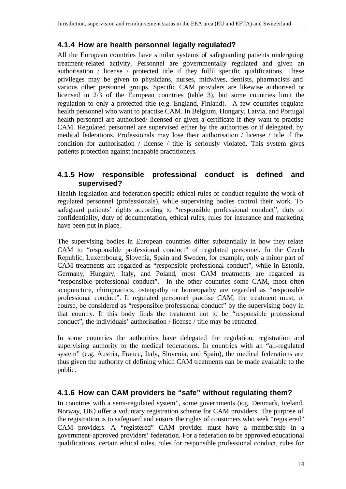## **4.1.4 How are health personnel legally regulated?**

All the European countries have similar systems of safeguarding patients undergoing treatment-related activity. Personnel are governmentally regulated and given an authorisation / license / protected title if they fulfil specific qualifications. These privileges may be given to physicians, nurses, midwives, dentists, pharmacists and various other personnel groups. Specific CAM providers are likewise authorised or licensed in 2/3 of the European countries (table 3), but some countries limit the regulation to only a protected title (e.g. England, Finland). A few countries regulate health personnel who want to practise CAM. In Belgium, Hungary, Latvia, and Portugal health personnel are authorised/ licensed or given a certificate if they want to practise CAM. Regulated personnel are supervised either by the authorities or if delegated, by medical federations. Professionals may lose their authorisation / license / title if the condition for authorisation / license / title is seriously violated. This system gives patients protection against incapable practitioners.

### **4.1.5 How responsible professional conduct is defined and supervised?**

Health legislation and federation-specific ethical rules of conduct regulate the work of regulated personnel (professionals), while supervising bodies control their work. To safeguard patients' rights according to "responsible professional conduct", duty of confidentiality, duty of documentation, ethical rules, rules for insurance and marketing have been put in place.

The supervising bodies in European countries differ substantially in how they relate CAM to "responsible professional conduct" of regulated personnel. In the Czech Republic, Luxembourg, Slovenia, Spain and Sweden, for example, only a minor part of CAM treatments are regarded as "responsible professional conduct", while in Estonia, Germany, Hungary, Italy, and Poland, most CAM treatments are regarded as "responsible professional conduct". In the other countries some CAM, most often acupuncture, chiropractics, osteopathy or homeopathy are regarded as "responsible professional conduct". If regulated personnel practise CAM, the treatment must, of course, be considered as "responsible professional conduct" by the supervising body in that country. If this body finds the treatment not to be "responsible professional conduct", the individuals' authorisation / license / title may be retracted.

In some countries the authorities have delegated the regulation, registration and supervising authority to the medical federations. In countries with an "all-regulated system" (e.g. Austria, France, Italy, Slovenia, and Spain), the medical federations are thus given the authority of defining which CAM treatments can be made available to the public.

## **4.1.6 How can CAM providers be "safe" without regulating them?**

In countries with a semi-regulated system", some governments (e.g. Denmark, Iceland, Norway, UK) offer a voluntary registration scheme for CAM providers. The purpose of the registration is to safeguard and ensure the rights of consumers who seek "registered" CAM providers. A "registered" CAM provider must have a membership in a government-approved providers' federation. For a federation to be approved educational qualifications, certain ethical rules, rules for responsible professional conduct, rules for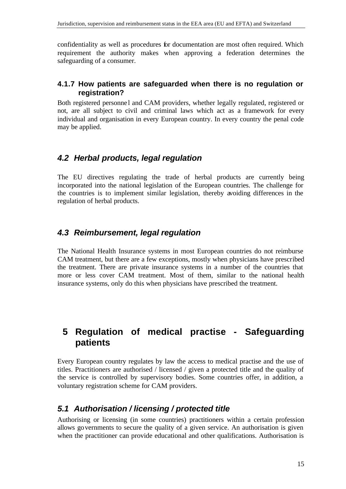confidentiality as well as procedures for documentation are most often required. Which requirement the authority makes when approving a federation determines the safeguarding of a consumer.

#### **4.1.7 How patients are safeguarded when there is no regulation or registration?**

Both registered personne l and CAM providers, whether legally regulated, registered or not, are all subject to civil and criminal laws which act as a framework for every individual and organisation in every European country. In every country the penal code may be applied.

## *4.2 Herbal products, legal regulation*

The EU directives regulating the trade of herbal products are currently being incorporated into the national legislation of the European countries. The challenge for the countries is to implement similar legislation, thereby avoiding differences in the regulation of herbal products.

## *4.3 Reimbursement, legal regulation*

The National Health Insurance systems in most European countries do not reimburse CAM treatment, but there are a few exceptions, mostly when physicians have prescribed the treatment. There are private insurance systems in a number of the countries that more or less cover CAM treatment. Most of them, similar to the national health insurance systems, only do this when physicians have prescribed the treatment.

## **5 Regulation of medical practise - Safeguarding patients**

Every European country regulates by law the access to medical practise and the use of titles. Practitioners are authorised / licensed / given a protected title and the quality of the service is controlled by supervisory bodies. Some countries offer, in addition, a voluntary registration scheme for CAM providers.

## *5.1 Authorisation / licensing / protected title*

Authorising or licensing (in some countries) practitioners within a certain profession allows governments to secure the quality of a given service. An authorisation is given when the practitioner can provide educational and other qualifications. Authorisation is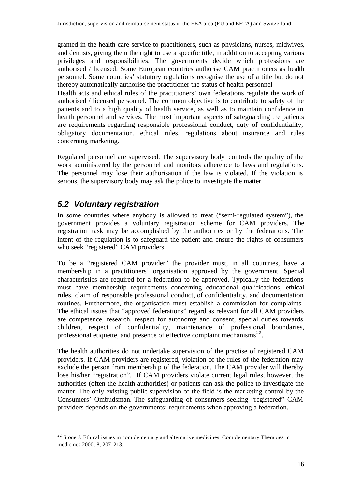granted in the health care service to practitioners, such as physicians, nurses, midwives, and dentists, giving them the right to use a specific title, in addition to accepting various privileges and responsibilities. The governments decide which professions are authorised / licensed. Some European countries authorise CAM practitioners as health personnel. Some countries' statutory regulations recognise the use of a title but do not thereby automatically authorise the practitioner the status of health personnel

Health acts and ethical rules of the practitioners' own federations regulate the work of authorised / licensed personnel. The common objective is to contribute to safety of the patients and to a high quality of health service, as well as to maintain confidence in health personnel and services. The most important aspects of safeguarding the patients are requirements regarding responsible professional conduct, duty of confidentiality, obligatory documentation, ethical rules, regulations about insurance and rules concerning marketing.

Regulated personnel are supervised. The supervisory body controls the quality of the work administered by the personnel and monitors adherence to laws and regulations. The personnel may lose their authorisation if the law is violated. If the violation is serious, the supervisory body may ask the police to investigate the matter.

## *5.2 Voluntary registration*

l

In some countries where anybody is allowed to treat ("semi-regulated system"), the government provides a voluntary registration scheme for CAM providers. The registration task may be accomplished by the authorities or by the federations. The intent of the regulation is to safeguard the patient and ensure the rights of consumers who seek "registered" CAM providers.

To be a "registered CAM provider" the provider must, in all countries, have a membership in a practitioners' organisation approved by the government. Special characteristics are required for a federation to be approved. Typically the federations must have membership requirements concerning educational qualifications, ethical rules, claim of responsible professional conduct, of confidentiality, and documentation routines. Furthermore, the organisation must establish a commission for complaints. The ethical issues that "approved federations" regard as relevant for all CAM providers are competence, research, respect for autonomy and consent, special duties towards children, respect of confidentiality, maintenance of professional boundaries, professional etiquette, and presence of effective complaint mechanisms $^{22}$ .

The health authorities do not undertake supervision of the practise of registered CAM providers. If CAM providers are registered, violation of the rules of the federation may exclude the person from membership of the federation. The CAM provider will thereby lose his/her "registration". If CAM providers violate current legal rules, however, the authorities (often the health authorities) or patients can ask the police to investigate the matter. The only existing public supervision of the field is the marketing control by the Consumers' Ombudsman. The safeguarding of consumers seeking "registered" CAM providers depends on the governments' requirements when approving a federation.

<sup>&</sup>lt;sup>22</sup> Stone J. Ethical issues in complementary and alternative medicines. Complementary Therapies in medicines 2000; 8, 207-213.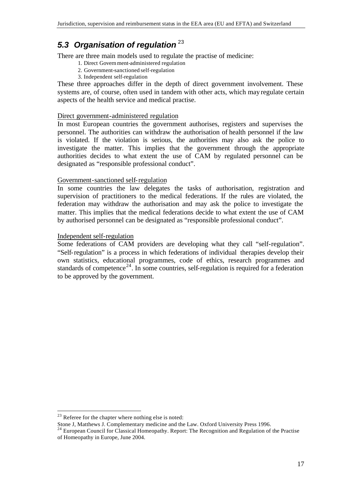## *5.3 Organisation of regulation* <sup>23</sup>

There are three main models used to regulate the practise of medicine:

- 1. Direct Government-administered regulation
- 2. Government-sanctioned self-regulation
- 3. Independent self-regulation

These three approaches differ in the depth of direct government involvement. These systems are, of course, often used in tandem with other acts, which may regulate certain aspects of the health service and medical practise.

#### Direct government-administered regulation

In most European countries the government authorises, registers and supervises the personnel. The authorities can withdraw the authorisation of health personnel if the law is violated. If the violation is serious, the authorities may also ask the police to investigate the matter. This implies that the government through the appropriate authorities decides to what extent the use of CAM by regulated personnel can be designated as "responsible professional conduct".

#### Government-sanctioned self-regulation

In some countries the law delegates the tasks of authorisation, registration and supervision of practitioners to the medical federations. If the rules are violated, the federation may withdraw the authorisation and may ask the police to investigate the matter. This implies that the medical federations decide to what extent the use of CAM by authorised personnel can be designated as "responsible professional conduct".

#### Independent self-regulation

Some federations of CAM providers are developing what they call "self-regulation". "Self-regulation" is a process in which federations of individual therapies develop their own statistics, educational programmes, code of ethics, research programmes and standards of competence<sup>24</sup>. In some countries, self-regulation is required for a federation to be approved by the government.

 $23$  Referee for the chapter where nothing else is noted:

Stone J, Matthews J. Complementary medicine and the Law. Oxford University Press 1996.

<sup>&</sup>lt;sup>24</sup> European Council for Classical Homeopathy. Report: The Recognition and Regulation of the Practise of Homeopathy in Europe, June 2004.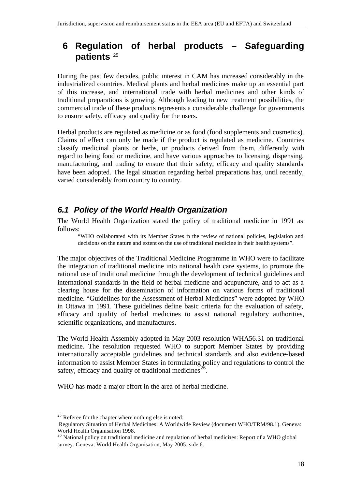## **6 Regulation of herbal products – Safeguarding patients** <sup>25</sup>

During the past few decades, public interest in CAM has increased considerably in the industrialized countries. Medical plants and herbal medicines make up an essential part of this increase, and international trade with herbal medicines and other kinds of traditional preparations is growing. Although leading to new treatment possibilities, the commercial trade of these products represents a considerable challenge for governments to ensure safety, efficacy and quality for the users.

Herbal products are regulated as medicine or as food (food supplements and cosmetics). Claims of effect can only be made if the product is regulated as medicine. Countries classify medicinal plants or herbs, or products derived from them, differently with regard to being food or medicine, and have various approaches to licensing, dispensing, manufacturing, and trading to ensure that their safety, efficacy and quality standards have been adopted. The legal situation regarding herbal preparations has, until recently, varied considerably from country to country.

## *6.1 Policy of the World Health Organization*

The World Health Organization stated the policy of traditional medicine in 1991 as follows:

"WHO collaborated with its Member States in the review of national policies, legislation and decisions on the nature and extent on the use of traditional medicine in their health systems".

The major objectives of the Traditional Medicine Programme in WHO were to facilitate the integration of traditional medicine into national health care systems, to promote the rational use of traditional medicine through the development of technical guidelines and international standards in the field of herbal medicine and acupuncture, and to act as a clearing house for the dissemination of information on various forms of traditional medicine. "Guidelines for the Assessment of Herbal Medicines" were adopted by WHO in Ottawa in 1991. These guidelines define basic criteria for the evaluation of safety, efficacy and quality of herbal medicines to assist national regulatory authorities, scientific organizations, and manufactures.

The World Health Assembly adopted in May 2003 resolution WHA56.31 on traditional medicine. The resolution requested WHO to support Member States by providing internationally acceptable guidelines and technical standards and also evidence-based information to assist Member States in formulating policy and regulations to control the safety, efficacy and quality of traditional medicines<sup>26</sup>.

WHO has made a major effort in the area of herbal medicine.

 $25$  Referee for the chapter where nothing else is noted:

Regulatory Situation of Herbal Medicines: A Worldwide Review (document WHO/TRM/98.1). Geneva: World Health Organisation 1998.

 $^{26}$  National policy on traditional medicine and regulation of herbal medicines: Report of a WHO global survey. Geneva: World Health Organisation, May 2005: side 6.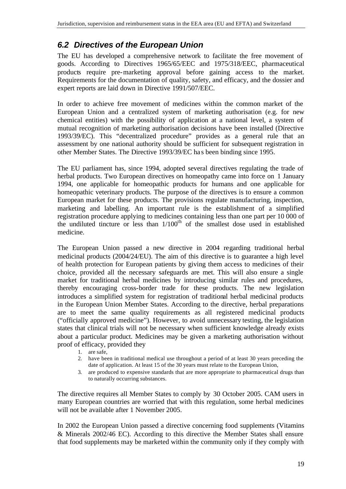## *6.2 Directives of the European Union*

The EU has developed a comprehensive network to facilitate the free movement of goods. According to Directives 1965/65/EEC and 1975/318/EEC, pharmaceutical products require pre-marketing approval before gaining access to the market. Requirements for the documentation of quality, safety, and efficacy, and the dossier and expert reports are laid down in Directive 1991/507/EEC.

In order to achieve free movement of medicines within the common market of the European Union and a centralized system of marketing authorisation (e.g. for new chemical entities) with the possibility of application at a national level, a system of mutual recognition of marketing authorisation decisions have been installed (Directive 1993/39/EC). This "decentralized procedure" provides as a general rule that an assessment by one national authority should be sufficient for subsequent registration in other Member States. The Directive 1993/39/EC ha s been binding since 1995.

The EU parliament has, since 1994, adopted several directives regulating the trade of herbal products. Two European directives on homeopathy came into force on 1 January 1994, one applicable for homeopathic products for humans and one applicable for homeopathic veterinary products. The purpose of the directives is to ensure a common European market for these products. The provisions regulate manufacturing, inspection, marketing and labelling. An important rule is the establishment of a simplified registration procedure applying to medicines containing less than one part per 10 000 of the undiluted tincture or less than  $1/100<sup>th</sup>$  of the smallest dose used in established medicine.

The European Union passed a new directive in 2004 regarding traditional herbal medicinal products (2004/24/EU). The aim of this directive is to guarantee a high level of health protection for European patients by giving them access to medicines of their choice, provided all the necessary safeguards are met. This will also ensure a single market for traditional herbal medicines by introducing similar rules and procedures, thereby encouraging cross-border trade for these products. The new legislation introduces a simplified system for registration of traditional herbal medicinal products in the European Union Member States. According to the directive, herbal preparations are to meet the same quality requirements as all registered medicinal products ("officially approved medicine"). However, to avoid unnecessary testing, the legislation states that clinical trials will not be necessary when sufficient knowledge already exists about a particular product. Medicines may be given a marketing authorisation without proof of efficacy, provided they

- 1. are safe,
- 2. have been in traditional medical use throughout a period of at least 30 years preceding the date of application. At least 15 of the 30 years must relate to the European Union,
- 3. are produced to expensive standards that are more appropriate to pharmaceutical drugs than to naturally occurring substances.

The directive requires all Member States to comply by 30 October 2005. CAM users in many European countries are worried that with this regulation, some herbal medicines will not be available after 1 November 2005.

In 2002 the European Union passed a directive concerning food supplements (Vitamins & Minerals 2002/46 EC). According to this directive the Member States shall ensure that food supplements may be marketed within the community only if they comply with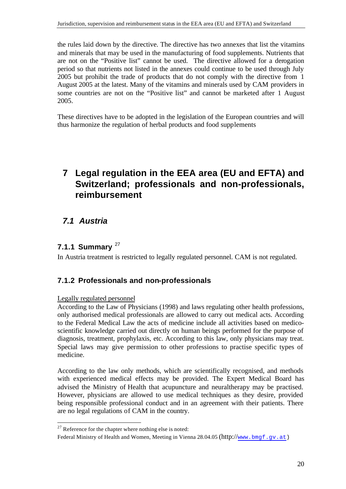the rules laid down by the directive. The directive has two annexes that list the vitamins and minerals that may be used in the manufacturing of food supplements. Nutrients that are not on the "Positive list" cannot be used. The directive allowed for a derogation period so that nutrients not listed in the annexes could continue to be used through July 2005 but prohibit the trade of products that do not comply with the directive from 1 August 2005 at the latest. Many of the vitamins and minerals used by CAM providers in some countries are not on the "Positive list" and cannot be marketed after 1 August 2005.

These directives have to be adopted in the legislation of the European countries and will thus harmonize the regulation of herbal products and food supplements

## **7 Legal regulation in the EEA area (EU and EFTA) and Switzerland; professionals and non-professionals, reimbursement**

## *7.1 Austria*

## **7.1.1 Summary** <sup>27</sup>

In Austria treatment is restricted to legally regulated personnel. CAM is not regulated.

## **7.1.2 Professionals and non-professionals**

#### Legally regulated personnel

l

According to the Law of Physicians (1998) and laws regulating other health professions, only authorised medical professionals are allowed to carry out medical acts. According to the Federal Medical Law the acts of medicine include all activities based on medicoscientific knowledge carried out directly on human beings performed for the purpose of diagnosis, treatment, prophylaxis, etc. According to this law, only physicians may treat. Special laws may give permission to other professions to practise specific types of medicine.

According to the law only methods, which are scientifically recognised, and methods with experienced medical effects may be provided. The Expert Medical Board has advised the Ministry of Health that acupuncture and neuraltherapy may be practised. However, physicians are allowed to use medical techniques as they desire, provided being responsible professional conduct and in an agreement with their patients. There are no legal regulations of CAM in the country.

 $27$  Reference for the chapter where nothing else is noted:

Federal Ministry of Health and Women, Meeting in Vienna 28.04.05 (http://www.bmgf.gv.at)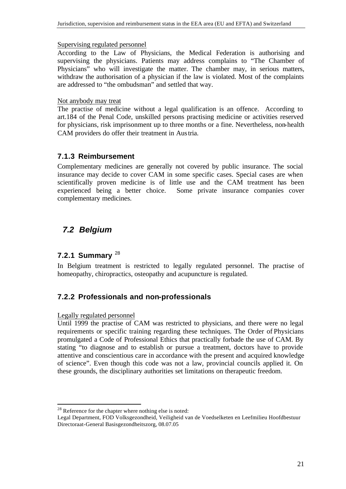Supervising regulated personnel

According to the Law of Physicians, the Medical Federation is authorising and supervising the physicians. Patients may address complains to "The Chamber of Physicians" who will investigate the matter. The chamber may, in serious matters, withdraw the authorisation of a physician if the law is violated. Most of the complaints are addressed to "the ombudsman" and settled that way.

#### Not anybody may treat

The practise of medicine without a legal qualification is an offence. According to art.184 of the Penal Code, unskilled persons practising medicine or activities reserved for physicians, risk imprisonment up to three months or a fine. Nevertheless, non-health CAM providers do offer their treatment in Austria.

## **7.1.3 Reimbursement**

Complementary medicines are generally not covered by public insurance. The social insurance may decide to cover CAM in some specific cases. Special cases are when scientifically proven medicine is of little use and the CAM treatment has been experienced being a better choice. Some private insurance companies cover complementary medicines.

## *7.2 Belgium*

## **7.2.1 Summary** <sup>28</sup>

In Belgium treatment is restricted to legally regulated personnel. The practise of homeopathy, chiropractics, osteopathy and acupuncture is regulated.

## **7.2.2 Professionals and non-professionals**

#### Legally regulated personnel

l

Until 1999 the practise of CAM was restricted to physicians, and there were no legal requirements or specific training regarding these techniques. The Order of Physicians promulgated a Code of Professional Ethics that practically forbade the use of CAM. By stating "to diagnose and to establish or pursue a treatment, doctors have to provide attentive and conscientious care in accordance with the present and acquired knowledge of science". Even though this code was not a law, provincial councils applied it. On these grounds, the disciplinary authorities set limitations on therapeutic freedom.

<sup>&</sup>lt;sup>28</sup> Reference for the chapter where nothing else is noted:

Legal Department, FOD Volksgezondheid, Veiligheid van de Voedselketen en Leefmilieu Hoofdbestuur Directoraat-General Basisgezondheitszorg, 08.07.05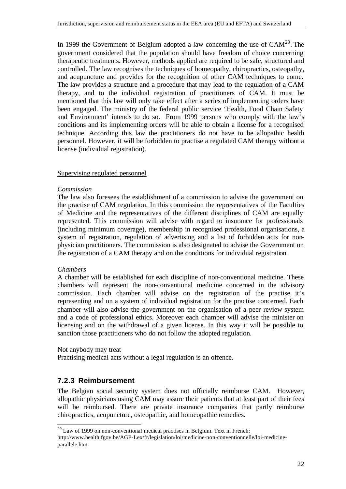In 1999 the Government of Belgium adopted a law concerning the use of  $CAM^{29}$ . The government considered that the population should have freedom of choice concerning therapeutic treatments. However, methods applied are required to be safe, structured and controlled. The law recognises the techniques of homeopathy, chiropractics, osteopathy, and acupuncture and provides for the recognition of other CAM techniques to come. The law provides a structure and a procedure that may lead to the regulation of a CAM therapy, and to the individual registration of practitioners of CAM. It must be mentioned that this law will only take effect after a series of implementing orders have been engaged. The ministry of the federal public service 'Health, Food Chain Safety and Environment' intends to do so. From 1999 persons who comply with the law's conditions and its implementing orders will be able to obtain a license for a recognised technique. According this law the practitioners do not have to be allopathic health personnel. However, it will be forbidden to practise a regulated CAM therapy without a license (individual registration).

#### Supervising regulated personnel

#### *Commission*

The law also foresees the establishment of a commission to advise the government on the practise of CAM regulation. In this commission the representatives of the Faculties of Medicine and the representatives of the different disciplines of CAM are equally represented. This commission will advise with regard to insurance for professionals (including minimum coverage), membership in recognised professional organisations, a system of registration, regulation of advertising and a list of forbidden acts for nonphysician practitioners. The commission is also designated to advise the Government on the registration of a CAM therapy and on the conditions for individual registration.

#### *Chambers*

l

A chamber will be established for each discipline of non-conventional medicine. These chambers will represent the non-conventional medicine concerned in the advisory commission. Each chamber will advise on the registration of the practise it's representing and on a system of individual registration for the practise concerned. Each chamber will also advise the government on the organisation of a peer-review system and a code of professional ethics. Moreover each chamber will advise the minister on licensing and on the withdrawal of a given license. In this way it will be possible to sanction those practitioners who do not follow the adopted regulation.

#### Not anybody may treat

Practising medical acts without a legal regulation is an offence.

## **7.2.3 Reimbursement**

The Belgian social security system does not officially reimburse CAM. However, allopathic physicians using CAM may assure their patients that at least part of their fees will be reimbursed. There are private insurance companies that partly reimburse chiropractics, acupuncture, osteopathic, and homeopathic remedies.

 $29$  Law of 1999 on non-conventional medical practises in Belgium. Text in French:

http://www.health.fgov.be/AGP-Lex/fr/legislation/loi/medicine-non-conventionnelle/loi-medicineparallele.htm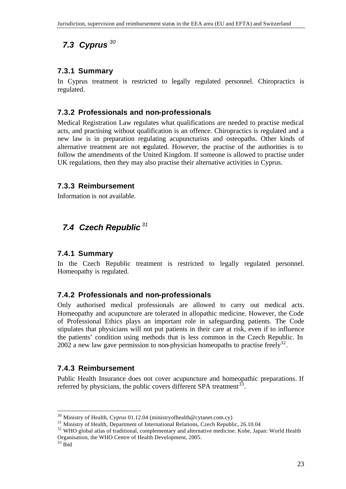# *7.3 Cyprus <sup>30</sup>*

### **7.3.1 Summary**

In Cyprus treatment is restricted to legally regulated personnel. Chiropractics is regulated.

### **7.3.2 Professionals and non-professionals**

Medical Registration Law regulates what qualifications are needed to practise medical acts, and practising without qualification is an offence. Chiropractics is regulated and a new law is in preparation regulating acupuncturists and osteopaths. Other kinds of alternative treatment are not regulated. However, the practise of the authorities is to follow the amendments of the United Kingdom. If someone is allowed to practise under UK regulations, then they may also practise their alternative activities in Cyprus.

#### **7.3.3 Reimbursement**

Information is not available.

## *7.4 Czech Republic <sup>31</sup>*

#### **7.4.1 Summary**

In the Czech Republic treatment is restricted to legally regulated personnel. Homeopathy is regulated.

#### **7.4.2 Professionals and non-professionals**

Only authorised medical professionals are allowed to carry out medical acts. Homeopathy and acupuncture are tolerated in allopathic medicine. However, the Code of Professional Ethics plays an important role in safeguarding patients. The Code stipulates that physicians will not put patients in their care at risk, even if to influence the patients' condition using methods that is less common in the Czech Republic. In 2002 a new law gave permission to non-physician homeopaths to practise freely<sup>32</sup>.

#### **7.4.3 Reimbursement**

Public Health Insurance does not cover acupuncture and homeopathic preparations. If referred by physicians, the public covers different SPA treatment<sup>33</sup>.

 $30$  Ministry of Health, Cyprus 01.12.04 (ministryofhealth@cytanet.com.cy)

<sup>&</sup>lt;sup>31</sup> Ministry of Health, Department of International Relations, Czech Republic, 26.10.04

<sup>&</sup>lt;sup>32</sup> WHO global atlas of traditional, complementary and alternative medicine. Kobe, Japan: World Health Organisation, the WHO Centre of Health Development, 2005.

 $33$  Ibid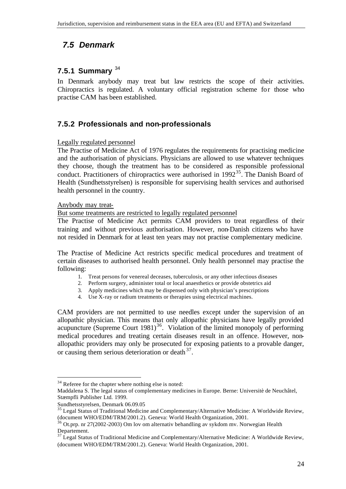## *7.5 Denmark*

## **7.5.1 Summary** <sup>34</sup>

In Denmark anybody may treat but law restricts the scope of their activities. Chiropractics is regulated. A voluntary official registration scheme for those who practise CAM has been established.

## **7.5.2 Professionals and non-professionals**

#### Legally regulated personnel

The Practise of Medicine Act of 1976 regulates the requirements for practising medicine and the authorisation of physicians. Physicians are allowed to use whatever techniques they choose, though the treatment has to be considered as responsible professional conduct. Practitioners of chiropractics were authorised in  $1992^{35}$ . The Danish Board of Health (Sundhetsstyrelsen) is responsible for supervising health services and authorised health personnel in the country.

#### Anybody may treat-

But some treatments are restricted to legally regulated personnel

The Practise of Medicine Act permits CAM providers to treat regardless of their training and without previous authorisation. However, non-Danish citizens who have not resided in Denmark for at least ten years may not practise complementary medicine.

The Practise of Medicine Act restricts specific medical procedures and treatment of certain diseases to authorised health personnel. Only health personnel may practise the following:

- 1. Treat persons for venereal deceases, tuberculosis, or any other infectious diseases
- 2. Perform surgery, administer total or local anaesthetics or provide obstetrics aid
- 3. Apply medicines which may be dispensed only with physician's prescriptions
- 4. Use X-ray or radium treatments or therapies using electrical machines.

CAM providers are not permitted to use needles except under the supervision of an allopathic physician. This means that only allopathic physicians have legally provided acupuncture (Supreme Court 1981)<sup>36</sup>. Violation of the limited monopoly of performing medical procedures and treating certain diseases result in an offence. However, nonallopathic providers may only be prosecuted for exposing patients to a provable danger, or causing them serious deterioration or death  $37$ .

<sup>&</sup>lt;sup>34</sup> Referee for the chapter where nothing else is noted:

Maddalena S. The legal status of complementary medicines in Europe. Berne: Universitè de Neuchâtel, Stæmpfli Publisher Ltd. 1999.

Sundhetsstyrelsen, Denmark 06.09.05

<sup>&</sup>lt;sup>35</sup> Legal Status of Traditional Medicine and Complementary/Alternative Medicine: A Worldwide Review, (document WHO/EDM/TRM/2001.2). Geneva: World Health Organization, 2001.

<sup>&</sup>lt;sup>36</sup> Ot.prp. nr 27(2002-2003) Om lov om alternativ behandling av sykdom mv. Norwegian Health Departement.

 $37$  Legal Status of Traditional Medicine and Complementary/Alternative Medicine: A Worldwide Review, (document WHO/EDM/TRM/2001.2). Geneva: World Health Organization, 2001.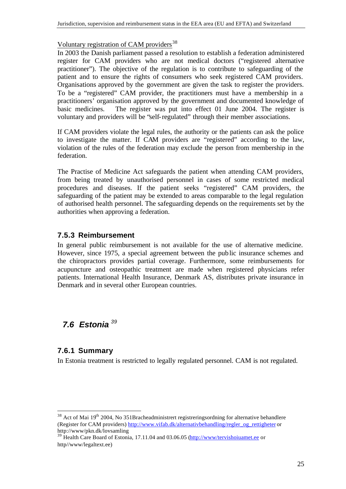#### Voluntary registration of CAM providers<sup>38</sup>

In 2003 the Danish parliament passed a resolution to establish a federation administered register for CAM providers who are not medical doctors ("registered alternative practitioner"). The objective of the regulation is to contribute to safeguarding of the patient and to ensure the rights of consumers who seek registered CAM providers. Organisations approved by the government are given the task to register the providers. To be a "registered" CAM provider, the practitioners must have a membership in a practitioners' organisation approved by the government and documented knowledge of basic medicines. The register was put into effect 01 June 2004. The register is voluntary and providers will be "self-regulated" through their member associations.

If CAM providers violate the legal rules, the authority or the patients can ask the police to investigate the matter. If CAM providers are "registered" according to the law, violation of the rules of the federation may exclude the person from membership in the federation.

The Practise of Medicine Act safeguards the patient when attending CAM providers, from being treated by unauthorised personnel in cases of some restricted medical procedures and diseases. If the patient seeks "registered" CAM providers, the safeguarding of the patient may be extended to areas comparable to the legal regulation of authorised health personnel. The safeguarding depends on the requirements set by the authorities when approving a federation.

## **7.5.3 Reimbursement**

In general public reimbursement is not available for the use of alternative medicine. However, since 1975, a special agreement between the public insurance schemes and the chiropractors provides partial coverage. Furthermore, some reimbursements for acupuncture and osteopathic treatment are made when registered physicians refer patients. International Health Insurance, Denmark AS, distributes private insurance in Denmark and in several other European countries.

## *7.6 Estonia <sup>39</sup>*

## **7.6.1 Summary**

l

In Estonia treatment is restricted to legally regulated personnel. CAM is not regulated.

 $38$  Act of Mai 19<sup>th</sup> 2004, No 351Bracheadministrert registreringsordning for alternative behandlere (Register for CAM providers) http://www.vifab.dk/alternativbehandling/regler\_og\_rettigheter or http://www/pkn.dk/lovsamling

<sup>&</sup>lt;sup>39</sup> Health Care Board of Estonia, 17.11.04 and 03.06.05 (http://www/tervishoiuamet.ee or http//www/legaltext.ee)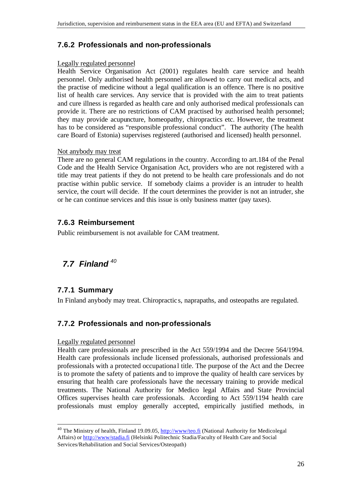## **7.6.2 Professionals and non-professionals**

#### Legally regulated personnel

Health Service Organisation Act (2001) regulates health care service and health personnel. Only authorised health personnel are allowed to carry out medical acts, and the practise of medicine without a legal qualification is an offence. There is no positive list of health care services. Any service that is provided with the aim to treat patients and cure illness is regarded as health care and only authorised medical professionals can provide it. There are no restrictions of CAM practised by authorised health personnel; they may provide acupuncture, homeopathy, chiropractics etc. However, the treatment has to be considered as "responsible professional conduct". The authority (The health care Board of Estonia) supervises registered (authorised and licensed) health personnel.

#### Not anybody may treat

There are no general CAM regulations in the country. According to art.184 of the Penal Code and the Health Service Organisation Act, providers who are not registered with a title may treat patients if they do not pretend to be health care professionals and do not practise within public service. If somebody claims a provider is an intruder to health service, the court will decide. If the court determines the provider is not an intruder, she or he can continue services and this issue is only business matter (pay taxes).

## **7.6.3 Reimbursement**

Public reimbursement is not available for CAM treatment.

# *7.7 Finland <sup>40</sup>*

## **7.7.1 Summary**

l

In Finland anybody may treat. Chiropractic s, naprapaths, and osteopaths are regulated.

## **7.7.2 Professionals and non-professionals**

#### Legally regulated personnel

Health care professionals are prescribed in the Act 559/1994 and the Decree 564/1994. Health care professionals include licensed professionals, authorised professionals and professionals with a protected occupationa l title. The purpose of the Act and the Decree is to promote the safety of patients and to improve the quality of health care services by ensuring that health care professionals have the necessary training to provide medical treatments. The National Authority for Medico legal Affairs and State Provincial Offices supervises health care professionals. According to Act 559/1194 health care professionals must employ generally accepted, empirically justified methods, in

<sup>&</sup>lt;sup>40</sup> The Ministry of health, Finland 19.09.05, http://www/teo.fi (National Authority for Medicolegal Affairs) or http://www/stadia.fi (Helsinki Politechnic Stadia/Faculty of Health Care and Social Services/Rehabilitation and Social Services/Osteopath)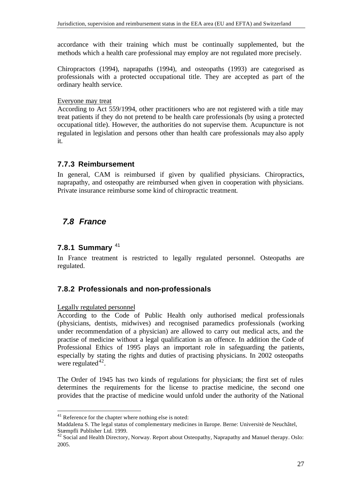accordance with their training which must be continually supplemented, but the methods which a health care professional may employ are not regulated more precisely.

Chiropractors (1994), naprapaths (1994), and osteopaths (1993) are categorised as professionals with a protected occupational title. They are accepted as part of the ordinary health service.

#### Everyone may treat

According to Act 559/1994, other practitioners who are not registered with a title may treat patients if they do not pretend to be health care professionals (by using a protected occupational title). However, the authorities do not supervise them. Acupuncture is not regulated in legislation and persons other than health care professionals may also apply it.

#### **7.7.3 Reimbursement**

In general, CAM is reimbursed if given by qualified physicians. Chiropractics, naprapathy, and osteopathy are reimbursed when given in cooperation with physicians. Private insurance reimburse some kind of chiropractic treatment.

## *7.8 France*

#### **7.8.1 Summary** <sup>41</sup>

In France treatment is restricted to legally regulated personnel. Osteopaths are regulated.

## **7.8.2 Professionals and non-professionals**

Legally regulated personnel

l

According to the Code of Public Health only authorised medical professionals (physicians, dentists, midwives) and recognised paramedics professionals (working under recommendation of a physician) are allowed to carry out medical acts, and the practise of medicine without a legal qualification is an offence. In addition the Code of Professional Ethics of 1995 plays an important role in safeguarding the patients, especially by stating the rights and duties of practising physicians. In 2002 osteopaths were regulated $42$ .

The Order of 1945 has two kinds of regulations for physicians; the first set of rules determines the requirements for the license to practise medicine, the second one provides that the practise of medicine would unfold under the authority of the National

<sup>&</sup>lt;sup>41</sup> Reference for the chapter where nothing else is noted:

Maddalena S. The legal status of complementary medicines in Europe. Berne: Universitè de Neuchâtel, Stæmpfli Publisher Ltd. 1999.

 $42$  Social and Health Directory, Norway. Report about Osteopathy, Naprapathy and Manuel therapy. Oslo: 2005.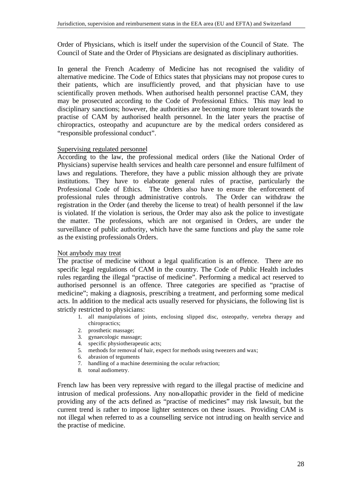Order of Physicians, which is itself under the supervision of the Council of State. The Council of State and the Order of Physicians are designated as disciplinary authorities.

In general the French Academy of Medicine has not recognised the validity of alternative medicine. The Code of Ethics states that physicians may not propose cures to their patients, which are insufficiently proved, and that physician have to use scientifically proven methods. When authorised health personnel practise CAM, they may be prosecuted according to the Code of Professional Ethics. This may lead to disciplinary sanctions; however, the authorities are becoming more tolerant towards the practise of CAM by authorised health personnel. In the later years the practise of chiropractics, osteopathy and acupuncture are by the medical orders considered as "responsible professional conduct".

#### Supervising regulated personnel

According to the law, the professional medical orders (like the National Order of Physicians) supervise health services and health care personnel and ensure fulfilment of laws and regulations. Therefore, they have a public mission although they are private institutions. They have to elaborate general rules of practise, particularly the Professional Code of Ethics. The Orders also have to ensure the enforcement of professional rules through administrative controls. The Order can withdraw the registration in the Order (and thereby the license to treat) of health personnel if the law is violated. If the violation is serious, the Order may also ask the police to investigate the matter. The professions, which are not organised in Orders, are under the surveillance of public authority, which have the same functions and play the same role as the existing professionals Orders.

#### Not anybody may treat

The practise of medicine without a legal qualification is an offence. There are no specific legal regulations of CAM in the country. The Code of Public Health includes rules regarding the illegal "practise of medicine". Performing a medical act reserved to authorised personnel is an offence. Three categories are specified as "practise of medicine"; making a diagnosis, prescribing a treatment, and performing some medical acts. In addition to the medical acts usually reserved for physicians, the following list is strictly restricted to physicians:

- 1. all manipulations of joints, enclosing slipped disc, osteopathy, vertebra therapy and chiropractics;
- 2. prosthetic massage;
- 3. gynaecologic massage;
- 4. specific physiotherapeutic acts;
- 5. methods for removal of hair, expect for methods using tweezers and wax;
- 6. abrasion of teguments
- 7. handling of a machine determining the ocular refraction;
- 8. tonal audiometry.

French law has been very repressive with regard to the illegal practise of medicine and intrusion of medical professions. Any non-allopathic provider in the field of medicine providing any of the acts defined as "practise of medicines" may risk lawsuit, but the current trend is rather to impose lighter sentences on these issues. Providing CAM is not illegal when referred to as a counselling service not intruding on health service and the practise of medicine.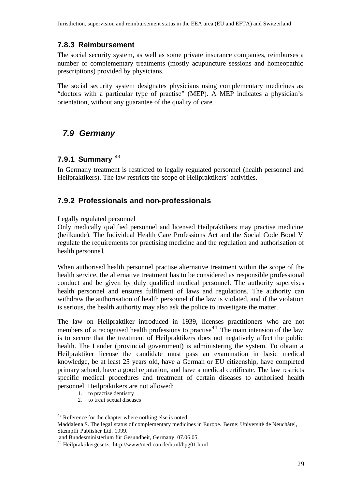## **7.8.3 Reimbursement**

The social security system, as well as some private insurance companies, reimburses a number of complementary treatments (mostly acupuncture sessions and homeopathic prescriptions) provided by physicians.

The social security system designates physicians using complementary medicines as "doctors with a particular type of practise" (MEP). A MEP indicates a physician's orientation, without any guarantee of the quality of care.

## *7.9 Germany*

## **7.9.1 Summary** <sup>43</sup>

In Germany treatment is restricted to legally regulated personnel (health personnel and Heilpraktikers). The law restricts the scope of Heilpraktikers` activities.

## **7.9.2 Professionals and non-professionals**

#### Legally regulated personnel

Only medically qualified personnel and licensed Heilpraktikers may practise medicine (heilkunde). The Individual Health Care Professions Act and the Social Code Bood V regulate the requirements for practising medicine and the regulation and authorisation of health personne l.

When authorised health personnel practise alternative treatment within the scope of the health service, the alternative treatment has to be considered as responsible professional conduct and be given by duly qualified medical personnel. The authority supervises health personnel and ensures fulfilment of laws and regulations. The authority can withdraw the authorisation of health personnel if the law is violated, and if the violation is serious, the health authority may also ask the police to investigate the matter.

The law on Heilpraktiker introduced in 1939, licenses practitioners who are not members of a recognised health professions to practise<sup>44</sup>. The main intension of the law is to secure that the treatment of Heilpraktikers does not negatively affect the public health. The Lander (provincial government) is administering the system. To obtain a Heilpraktiker license the candidate must pass an examination in basic medical knowledge, be at least 25 years old, have a German or EU citizenship, have completed primary school, have a good reputation, and have a medical certificate. The law restricts specific medical procedures and treatment of certain diseases to authorised health personnel. Heilpraktikers are not allowed:

- 1. to practise dentistry
- 2. to treat sexual diseases

l <sup>43</sup> Reference for the chapter where nothing else is noted:

Maddalena S. The legal status of complementary medicines in Europe. Berne: Universitè de Neuchâtel, Stæmpfli Publisher Ltd. 1999.

and Bundesministerium für Gesundheit, Germany 07.06.05

<sup>44</sup> Heilpraktikergesetz: http://www/med-con.de/html/hpg01.html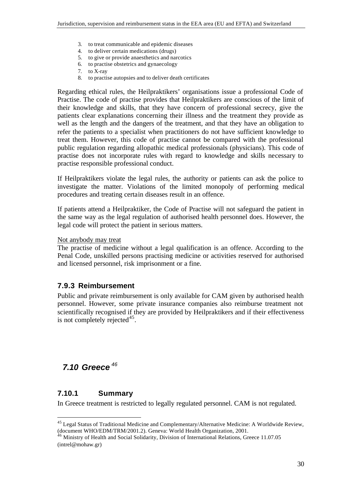- 3. to treat communicable and epidemic diseases
- 4. to deliver certain medications (drugs)
- 5. to give or provide anaesthetics and narcotics
- 6. to practise obstetrics and gynaecology
- 7. to X-ray
- 8. to practise autopsies and to deliver death certificates

Regarding ethical rules, the Heilpraktikers' organisations issue a professional Code of Practise. The code of practise provides that Heilpraktikers are conscious of the limit of their knowledge and skills, that they have concern of professional secrecy, give the patients clear explanations concerning their illness and the treatment they provide as well as the length and the dangers of the treatment, and that they have an obligation to refer the patients to a specialist when practitioners do not have sufficient knowledge to treat them. However, this code of practise cannot be compared with the professional public regulation regarding allopathic medical professionals (physicians). This code of practise does not incorporate rules with regard to knowledge and skills necessary to practise responsible professional conduct.

If Heilpraktikers violate the legal rules, the authority or patients can ask the police to investigate the matter. Violations of the limited monopoly of performing medical procedures and treating certain diseases result in an offence.

If patients attend a Heilpraktiker, the Code of Practise will not safeguard the patient in the same way as the legal regulation of authorised health personnel does. However, the legal code will protect the patient in serious matters.

Not anybody may treat

The practise of medicine without a legal qualification is an offence. According to the Penal Code, unskilled persons practising medicine or activities reserved for authorised and licensed personnel, risk imprisonment or a fine.

#### **7.9.3 Reimbursement**

Public and private reimbursement is only available for CAM given by authorised health personnel. However, some private insurance companies also reimburse treatment not scientifically recognised if they are provided by Heilpraktikers and if their effectiveness is not completely rejected $45$ .

## *7.10 Greece <sup>46</sup>*

## **7.10.1 Summary**

l

In Greece treatment is restricted to legally regulated personnel. CAM is not regulated.

<sup>&</sup>lt;sup>45</sup> Legal Status of Traditional Medicine and Complementary/Alternative Medicine: A Worldwide Review, (document WHO/EDM/TRM/2001.2). Geneva: World Health Organization, 2001.

<sup>&</sup>lt;sup>6</sup> Ministry of Health and Social Solidarity, Division of International Relations, Greece 11.07.05 (intrel@mohaw.gr)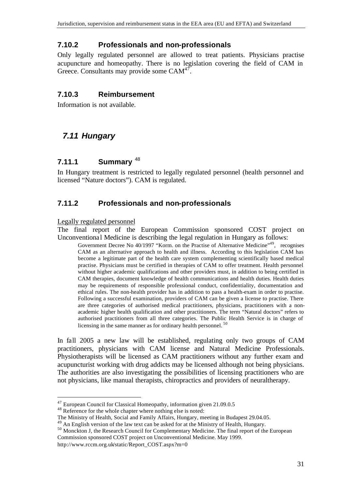## **7.10.2 Professionals and non-professionals**

Only legally regulated personnel are allowed to treat patients. Physicians practise acupuncture and homeopathy. There is no legislation covering the field of CAM in Greece. Consultants may provide some  $CAM^{47}$ .

## **7.10.3 Reimbursement**

Information is not available.

## *7.11 Hungary*

### **7.11.1 Summary** <sup>48</sup>

In Hungary treatment is restricted to legally regulated personnel (health personnel and licensed "Nature doctors"). CAM is regulated.

## **7.11.2 Professionals and non-professionals**

#### Legally regulated personnel

l

The final report of the European Commission sponsored COST project on Unconventional Medicine is describing the legal regulation in Hungary as follows:

Government Decree No 40/1997 "Korm. on the Practise of Alternative Medicine"<sup>49</sup>, recognises CAM as an alternative approach to health and illness. According to this legislation CAM has become a legitimate part of the health care system complementing scientifically based medical practise. Physicians must be certified in therapies of CAM to offer treatment. Health personnel without higher academic qualifications and other providers must, in addition to being certified in CAM therapies, document knowledge of health communications and health duties. Health duties may be requirements of responsible professional conduct, confidentiality, documentation and ethical rules. The non-health provider has in addition to pass a health-exam in order to practise. Following a successful examination, providers of CAM can be given a license to practise. There are three categories of authorised medical practitioners, physicians, practitioners with a nonacademic higher health qualification and other practitioners. The term "Natural doctors" refers to authorised practitioners from all three categories. The Public Health Service is in charge of licensing in the same manner as for ordinary health personnel.<sup>50</sup>

In fall 2005 a new law will be established, regulating only two groups of CAM practitioners, physicians with CAM license and Natural Medicine Professionals. Physiotherapists will be licensed as CAM practitioners without any further exam and acupuncturist working with drug addicts may be licensed although not being physicians. The authorities are also investigating the possibilities of licensing practitioners who are not physicians, like manual therapists, chiropractics and providers of neuraltherapy.

<sup>&</sup>lt;sup>47</sup> European Council for Classical Homeopathy, information given 21,09,0.5

<sup>48</sup> Reference for the whole chapter where nothing else is noted:

The Ministry of Health, Social and Family Affairs, Hungary, meeting in Budapest 29.04.05.

<sup>&</sup>lt;sup>49</sup> An English version of the law text can be asked for at the Ministry of Health, Hungary.

<sup>50</sup> Monckton J, the Research Council for Complementary Medicine. The final report of the European Commission sponsored COST project on Unconventional Medicine. May 1999.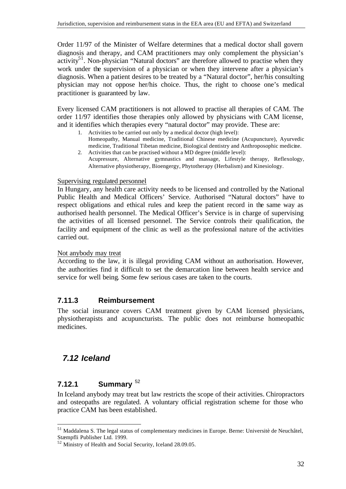Order 11/97 of the Minister of Welfare determines that a medical doctor shall govern diagnosis and therapy, and CAM practitioners may only complement the physician's activity<sup>51</sup>. Non-physician "Natural doctors" are therefore allowed to practise when they work under the supervision of a physician or when they intervene after a physician's diagnosis. When a patient desires to be treated by a "Natural doctor", her/his consulting physician may not oppose her/his choice. Thus, the right to choose one's medical practitioner is guaranteed by law.

Every licensed CAM practitioners is not allowed to practise all therapies of CAM. The order 11/97 identifies those therapies only allowed by physicians with CAM license, and it identifies which therapies every "natural doctor" may provide. These are:

- 1. Activities to be carried out only by a medical doctor (high level): Homeopathy, Manual medicine, Traditional Chinese medicine (Acupuncture), Ayurvedic
- medicine, Traditional Tibetan medicine, Biological dentistry and Anthroposophic medicine. 2. Activities that can be practised without a MD degree (middle level):
- Acupressure, Alternative gymnastics and massage, Lifestyle therapy, Reflexology, Alternative physiotherapy, Bioengergy, Phytotherapy (Herbalism) and Kinesiology.

#### Supervising regulated personnel

In Hungary, any health care activity needs to be licensed and controlled by the National Public Health and Medical Officers' Service. Authorised "Natural doctors" have to respect obligations and ethical rules and keep the patient record in the same way as authorised health personnel. The Medical Officer's Service is in charge of supervising the activities of all licensed personnel. The Service controls their qualification, the facility and equipment of the clinic as well as the professional nature of the activities carried out.

#### Not anybody may treat

According to the law, it is illegal providing CAM without an authorisation. However, the authorities find it difficult to set the demarcation line between health service and service for well being. Some few serious cases are taken to the courts.

#### **7.11.3 Reimbursement**

The social insurance covers CAM treatment given by CAM licensed physicians, physiotherapists and acupuncturists. The public does not reimburse homeopathic medicines.

## *7.12 Iceland*

l

## **7.12.1 Summary** <sup>52</sup>

In Iceland anybody may treat but law restricts the scope of their activities. Chiropractors and osteopaths are regulated. A voluntary official registration scheme for those who practice CAM has been established.

<sup>51</sup> Maddalena S. The legal status of complementary medicines in Europe. Berne: Universitè de Neuchâtel, Stæmpfli Publisher Ltd. 1999.

<sup>&</sup>lt;sup>52</sup> Ministry of Health and Social Security, Iceland 28.09.05.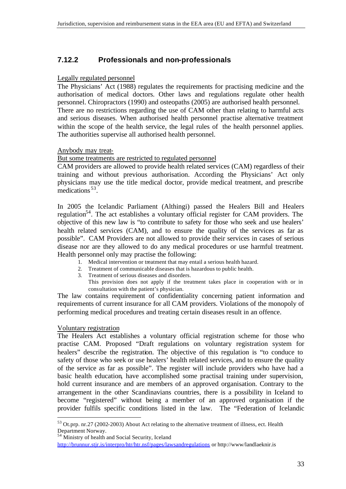## **7.12.2 Professionals and non-professionals**

#### Legally regulated personnel

The Physicians' Act (1988) regulates the requirements for practising medicine and the authorisation of medical doctors. Other laws and regulations regulate other health personnel. Chiropractors (1990) and osteopaths (2005) are authorised health personnel. There are no restrictions regarding the use of CAM other than relating to harmful acts and serious diseases. When authorised health personnel practise alternative treatment within the scope of the health service, the legal rules of the health personnel applies. The authorities supervise all authorised health personnel.

#### Anybody may treat-

#### But some treatments are restricted to regulated personnel

CAM providers are allowed to provide health related services (CAM) regardless of their training and without previous authorisation. According the Physicians' Act only physicians may use the title medical doctor, provide medical treatment, and prescribe medications<sup>53</sup>.

In 2005 the Icelandic Parliament (Althingi) passed the Healers Bill and Healers regulation<sup>54</sup>. The act establishes a voluntary official register for CAM providers. The objective of this new law is "to contribute to safety for those who seek and use healers' health related services (CAM), and to ensure the quality of the services as far as possible". CAM Providers are not allowed to provide their services in cases of serious disease nor are they allowed to do any medical procedures or use harmful treatment. Health personnel only may practise the following:

- 1. Medical intervention or treatment that may entail a serious health hazard.
- 2. Treatment of communicable diseases that is hazardous to public health.
- 3. Treatment of serious diseases and disorders.
	- This provision does not apply if the treatment takes place in cooperation with or in consultation with the patient's physician.

The law contains requirement of confidentiality concerning patient information and requirements of current insurance for all CAM providers. Violations of the monopoly of performing medical procedures and treating certain diseases result in an offence.

#### Voluntary registration

l

The Healers Act establishes a voluntary official registration scheme for those who practise CAM. Proposed "Draft regulations on voluntary registration system for healers" describe the registration. The objective of this regulation is "to conduce to safety of those who seek or use healers' health related services, and to ensure the quality of the service as far as possible". The register will include providers who have had a basic health education, have accomplished some practisal training under supervision, hold current insurance and are members of an approved organisation. Contrary to the arrangement in the other Scandinavians countries, there is a possibility in Iceland to become "registered" without being a member of an approved organisation if the provider fulfils specific conditions listed in the law. The "Federation of Icelandic

<sup>54</sup> Ministry of health and Social Security, Iceland

<sup>&</sup>lt;sup>53</sup> Ot.prp. nr.27 (2002-2003) About Act relating to the alternative treatment of illness, ect. Health Department Norway.

http://brunnur.stjr.is/interpro/htr/htr.nsf/pages/lawsandregulations or http://www/landlaeknir.is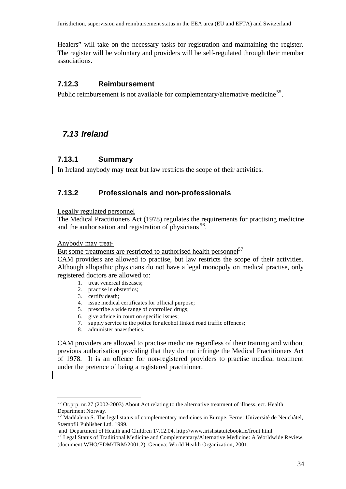Healers" will take on the necessary tasks for registration and maintaining the register. The register will be voluntary and providers will be self-regulated through their member associations.

#### **7.12.3 Reimbursement**

Public reimbursement is not available for complementary/alternative medicine<sup>55</sup>.

## *7.13 Ireland*

#### **7.13.1 Summary**

In Ireland anybody may treat but law restricts the scope of their activities.

#### **7.13.2 Professionals and non-professionals**

Legally regulated personnel

The Medical Practitioners Act (1978) regulates the requirements for practising medicine and the authorisation and registration of physicians<sup>56</sup>.

Anybody may treat-

l

But some treatments are restricted to authorised health personnel<sup>57</sup>

CAM providers are allowed to practise, but law restricts the scope of their activities. Although allopathic physicians do not have a legal monopoly on medical practise, only registered doctors are allowed to:

- 1. treat venereal diseases;
	- 2. practise in obstetrics;
	- 3. certify death;
	- 4. issue medical certificates for official purpose;
	- 5. prescribe a wide range of controlled drugs;
	- 6. give advice in court on specific issues;
	- 7. supply service to the police for alcohol linked road traffic offences;
	- 8. administer anaesthetics.

CAM providers are allowed to practise medicine regardless of their training and without previous authorisation providing that they do not infringe the Medical Practitioners Act of 1978. It is an offence for non-registered providers to practise medical treatment under the pretence of being a registered practitioner.

<sup>55</sup> Ot.prp. nr.27 (2002-2003) About Act relating to the alternative treatment of illness, ect. Health Department Norway.

<sup>56</sup> Maddalena S. The legal status of complementary medicines in Europe. Berne: Universitè de Neuchâtel, Stæmpfli Publisher Ltd. 1999.

and Department of Health and Children 17.12.04, http://www.irishstatutebook.ie/front.html

 $57$  Legal Status of Traditional Medicine and Complementary/Alternative Medicine: A Worldwide Review, (document WHO/EDM/TRM/2001.2). Geneva: World Health Organization, 2001.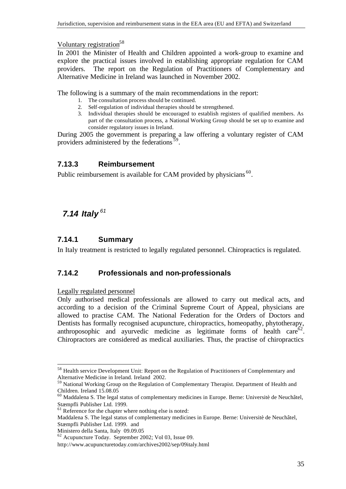Voluntary registration<sup>58</sup>

In 2001 the Minister of Health and Children appointed a work-group to examine and explore the practical issues involved in establishing appropriate regulation for CAM providers. The report on the Regulation of Practitioners of Complementary and Alternative Medicine in Ireland was launched in November 2002.

The following is a summary of the main recommendations in the report:

- 1. The consultation process should be continued.
- 2. Self-regulation of individual therapies should be strengthened.
- 3. Individual therapies should be encouraged to establish registers of qualified members. As part of the consultation process, a National Working Group should be set up to examine and consider regulatory issues in Ireland.

During 2005 the government is preparing a law offering a voluntary register of CAM providers administered by the federations<sup>59</sup>.

### **7.13.3 Reimbursement**

Public reimbursement is available for CAM provided by physicians  $60$ .

## *7.14 Italy <sup>61</sup>*

### **7.14.1 Summary**

In Italy treatment is restricted to legally regulated personnel. Chiropractics is regulated.

#### **7.14.2 Professionals and non-professionals**

Legally regulated personnel

Only authorised medical professionals are allowed to carry out medical acts, and according to a decision of the Criminal Supreme Court of Appeal, physicians are allowed to practise CAM. The National Federation for the Orders of Doctors and Dentists has formally recognised acupuncture, chiropractics, homeopathy, phytotherapy, anthroposophic and ayurvedic medicine as legitimate forms of health care  $62$ . Chiropractors are considered as medical auxiliaries. Thus, the practise of chiropractics

l <sup>58</sup> Health service Development Unit: Report on the Regulation of Practitioners of Complementary and Alternative Medicine in Ireland. Ireland 2002.

<sup>&</sup>lt;sup>59</sup> National Working Group on the Regulation of Complementary Therapist. Department of Health and Children. Ireland 15.08.05

<sup>60</sup> Maddalena S. The legal status of complementary medicines in Europe. Berne: Universitè de Neuchâtel, Stæmpfli Publisher Ltd. 1999.

 $61$  Reference for the chapter where nothing else is noted:

Maddalena S. The legal status of complementary medicines in Europe. Berne: Universitè de Neuchâtel, Stæmpfli Publisher Ltd. 1999. and

Ministero della Santa, Italy 09.09.05

<sup>62</sup> Acupuncture Today. September 2002; Vol 03, Issue 09.

http://www.acupuncturetoday.com/archives2002/sep/09italy.html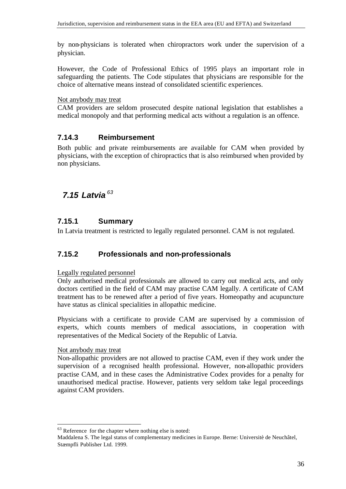by non-physicians is tolerated when chiropractors work under the supervision of a physician.

However, the Code of Professional Ethics of 1995 plays an important role in safeguarding the patients. The Code stipulates that physicians are responsible for the choice of alternative means instead of consolidated scientific experiences.

#### Not anybody may treat

CAM providers are seldom prosecuted despite national legislation that establishes a medical monopoly and that performing medical acts without a regulation is an offence.

#### **7.14.3 Reimbursement**

Both public and private reimbursements are available for CAM when provided by physicians, with the exception of chiropractics that is also reimbursed when provided by non physicians.

## *7.15 Latvia <sup>63</sup>*

### **7.15.1 Summary**

In Latvia treatment is restricted to legally regulated personnel. CAM is not regulated.

#### **7.15.2 Professionals and non-professionals**

#### Legally regulated personnel

Only authorised medical professionals are allowed to carry out medical acts, and only doctors certified in the field of CAM may practise CAM legally. A certificate of CAM treatment has to be renewed after a period of five years. Homeopathy and acupuncture have status as clinical specialities in allopathic medicine.

Physicians with a certificate to provide CAM are supervised by a commission of experts, which counts members of medical associations, in cooperation with representatives of the Medical Society of the Republic of Latvia.

#### Not anybody may treat

l

Non-allopathic providers are not allowed to practise CAM, even if they work under the supervision of a recognised health professional. However, non-allopathic providers practise CAM, and in these cases the Administrative Codex provides for a penalty for unauthorised medical practise. However, patients very seldom take legal proceedings against CAM providers.

 $63$  Reference for the chapter where nothing else is noted:

Maddalena S. The legal status of complementary medicines in Europe. Berne: Universitè de Neuchâtel, Stæmpfli Publisher Ltd. 1999.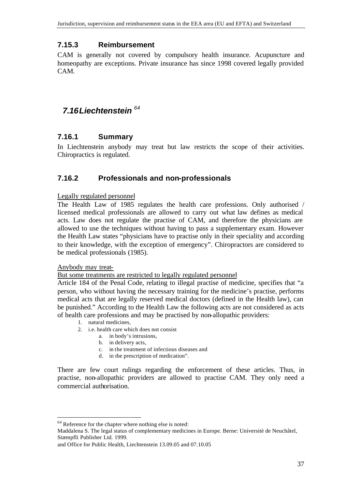## **7.15.3 Reimbursement**

CAM is generally not covered by compulsory health insurance. Acupuncture and homeopathy are exceptions. Private insurance has since 1998 covered legally provided CAM.

## *7.16Liechtenstein <sup>64</sup>*

## **7.16.1 Summary**

In Liechtenstein anybody may treat but law restricts the scope of their activities. Chiropractics is regulated.

## **7.16.2 Professionals and non-professionals**

#### Legally regulated personnel

The Health Law of 1985 regulates the health care professions. Only authorised / licensed medical professionals are allowed to carry out what law defines as medical acts. Law does not regulate the practise of CAM, and therefore the physicians are allowed to use the techniques without having to pass a supplementary exam. However the Health Law states "physicians have to practise only in their speciality and according to their knowledge, with the exception of emergency". Chiropractors are considered to be medical professionals (1985).

#### Anybody may treat-

l

#### But some treatments are restricted to legally regulated personnel

Article 184 of the Penal Code, relating to illegal practise of medicine, specifies that "a person, who without having the necessary training for the medicine's practise, performs medical acts that are legally reserved medical doctors (defined in the Health law), can be punished." According to the Health Law the following acts are not considered as acts of health care professions and may be practised by non-allopathic providers:

- 1. natural medicines,
- 2. i.e. health care which does not consist
	- a. in body's intrusions,
	- b. in delivery acts,
	- c. in the treatment of infectious diseases and
	- d. in the prescription of medication".

There are few court rulings regarding the enforcement of these articles. Thus, in practise, non-allopathic providers are allowed to practise CAM. They only need a commercial authorisation.

<sup>&</sup>lt;sup>64</sup> Reference for the chapter where nothing else is noted:

Maddalena S. The legal status of complementary medicines in Europe. Berne: Universitè de Neuchâtel, Stæmpfli Publisher Ltd. 1999.

and Office for Public Health, Liechtenstein 13.09.05 and 07.10.05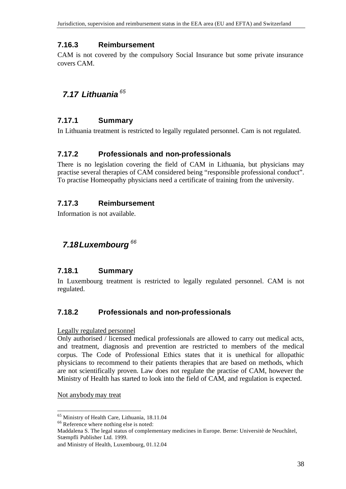## **7.16.3 Reimbursement**

CAM is not covered by the compulsory Social Insurance but some private insurance covers CAM.

## *7.17 Lithuania <sup>65</sup>*

## **7.17.1 Summary**

In Lithuania treatment is restricted to legally regulated personnel. Cam is not regulated.

## **7.17.2 Professionals and non-professionals**

There is no legislation covering the field of CAM in Lithuania, but physicians may practise several therapies of CAM considered being "responsible professional conduct". To practise Homeopathy physicians need a certificate of training from the university.

## **7.17.3 Reimbursement**

Information is not available.

## *7.18Luxembourg <sup>66</sup>*

## **7.18.1 Summary**

In Luxembourg treatment is restricted to legally regulated personnel. CAM is not regulated.

## **7.18.2 Professionals and non-professionals**

#### Legally regulated personnel

Only authorised / licensed medical professionals are allowed to carry out medical acts, and treatment, diagnosis and prevention are restricted to members of the medical corpus. The Code of Professional Ethics states that it is unethical for allopathic physicians to recommend to their patients therapies that are based on methods, which are not scientifically proven. Law does not regulate the practise of CAM, however the Ministry of Health has started to look into the field of CAM, and regulation is expected.

Not anybody may treat

<sup>65</sup> Ministry of Health Care, Lithuania, 18.11.04

<sup>&</sup>lt;sup>66</sup> Reference where nothing else is noted:

Maddalena S. The legal status of complementary medicines in Europe. Berne: Universitè de Neuchâtel, Stæmpfli Publisher Ltd. 1999.

and Ministry of Health, Luxembourg, 01.12.04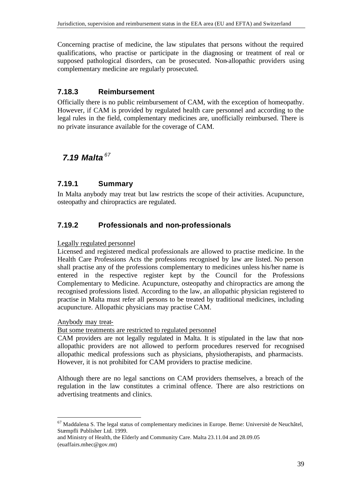Concerning practise of medicine, the law stipulates that persons without the required qualifications, who practise or participate in the diagnosing or treatment of real or supposed pathological disorders, can be prosecuted. Non-allopathic providers using complementary medicine are regularly prosecuted.

## **7.18.3 Reimbursement**

Officially there is no public reimbursement of CAM, with the exception of homeopathy. However, if CAM is provided by regulated health care personnel and according to the legal rules in the field, complementary medicines are, unofficially reimbursed. There is no private insurance available for the coverage of CAM.

## *7.19 Malta <sup>67</sup>*

### **7.19.1 Summary**

In Malta anybody may treat but law restricts the scope of their activities. Acupuncture, osteopathy and chiropractics are regulated.

## **7.19.2 Professionals and non-professionals**

#### Legally regulated personnel

Licensed and registered medical professionals are allowed to practise medicine. In the Health Care Professions Acts the professions recognised by law are listed. No person shall practise any of the professions complementary to medicines unless his/her name is entered in the respective register kept by the Council for the Professions Complementary to Medicine. Acupuncture, osteopathy and chiropractics are among the recognised professions listed. According to the law, an allopathic physician registered to practise in Malta must refer all persons to be treated by traditional medicines, including acupuncture. Allopathic physicians may practise CAM.

#### Anybody may treat-

l

But some treatments are restricted to regulated personnel

CAM providers are not legally regulated in Malta. It is stipulated in the law that nonallopathic providers are not allowed to perform procedures reserved for recognised allopathic medical professions such as physicians, physiotherapists, and pharmacists. However, it is not prohibited for CAM providers to practise medicine.

Although there are no legal sanctions on CAM providers themselves, a breach of the regulation in the law constitutes a criminal offence. There are also restrictions on advertising treatments and clinics.

and Ministry of Health, the Elderly and Community Care. Malta 23.11.04 and 28.09.05 (euaffairs.mhec@gov.mt)

 $67$  Maddalena S. The legal status of complementary medicines in Europe. Berne: Universitè de Neuchâtel, Stæmpfli Publisher Ltd. 1999.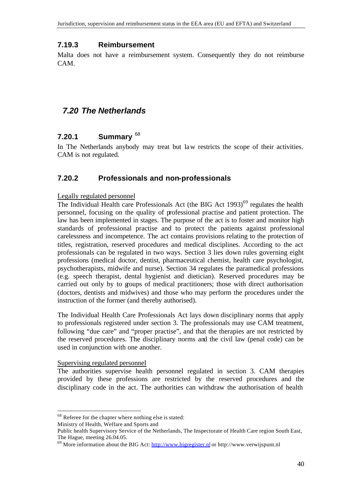#### **7.19.3 Reimbursement**

Malta does not have a reimbursement system. Consequently they do not reimburse CAM.

## *7.20 The Netherlands*

#### **7.20.1 Summary** <sup>68</sup>

In The Netherlands anybody may treat but law restricts the scope of their activities. CAM is not regulated.

#### **7.20.2 Professionals and non-professionals**

#### Legally regulated personnel

The Individual Health care Professionals Act (the BIG Act  $1993$ )<sup>69</sup> regulates the health personnel, focusing on the quality of professional practise and patient protection. The law has been implemented in stages. The purpose of the act is to foster and monitor high standards of professional practise and to protect the patients against professional carelessness and incompetence. The act contains provisions relating to the protection of titles, registration, reserved procedures and medical disciplines. According to the act professionals can be regulated in two ways. Section 3 lies down rules governing eight professions (medical doctor, dentist, pharmaceutical chemist, health care psychologist, psychotherapists, midwife and nurse). Section 34 regulates the paramedical professions (e.g. speech therapist, dental hygienist and dietician). Reserved procedures may be carried out only by to groups of medical practitioners; those with direct authorisation (doctors, dentists and midwives) and those who may perform the procedures under the instruction of the former (and thereby authorised).

The Individual Health Care Professionals Act lays down disciplinary norms that apply to professionals registered under section 3. The professionals may use CAM treatment, following "due care" and "proper practise", and that the therapies are not restricted by the reserved procedures. The disciplinary norms and the civil law (penal code) can be used in conjunction with one another.

#### Supervising regulated personnel

The authorities supervise health personnel regulated in section 3. CAM therapies provided by these professions are restricted by the reserved procedures and the disciplinary code in the act. The authorities can withdraw the authorisation of health

Ministry of Health, Welfare and Sports and

<sup>68</sup> Referee for the chapter where nothing else is stated:

Public health Supervisory Service of the Netherlands, The Inspectorate of Health Care region South East, The Hague, meeting 26.04.05.

 $^{69}$  More information about the BIG Act: http://www.bigregister.nl or http://www.verwijspunt.nl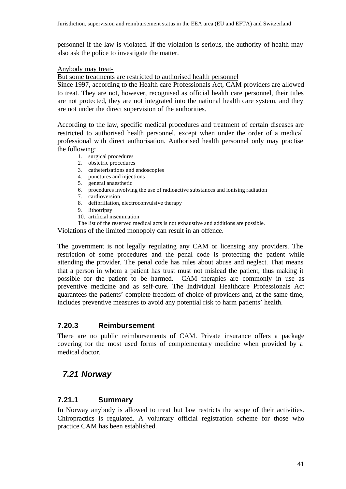personnel if the law is violated. If the violation is serious, the authority of health may also ask the police to investigate the matter.

#### Anybody may treat-

But some treatments are restricted to authorised health personnel

Since 1997, according to the Health care Professionals Act, CAM providers are allowed to treat. They are not, however, recognised as official health care personnel, their titles are not protected, they are not integrated into the national health care system, and they are not under the direct supervision of the authorities.

According to the law, specific medical procedures and treatment of certain diseases are restricted to authorised health personnel, except when under the order of a medical professional with direct authorisation. Authorised health personnel only may practise the following:

- 1. surgical procedures
- 2. obstetric procedures
- 3. catheterisations and endoscopies
- 4. punctures and injections
- 5. general anaesthetic
- 6. procedures involving the use of radioactive substances and ionising radiation
- 7. cardioversion
- 8. defibrillation, electroconvulsive therapy
- 9. lithotripsy
- 10. artificial insemination

The list of the reserved medical acts is not exhaustive and additions are possible.

Violations of the limited monopoly can result in an offence.

The government is not legally regulating any CAM or licensing any providers. The restriction of some procedures and the penal code is protecting the patient while attending the provider. The penal code has rules about abuse and neglect. That means that a person in whom a patient has trust must not mislead the patient, thus making it possible for the patient to be harmed. CAM therapies are commonly in use as preventive medicine and as self-cure. The Individual Healthcare Professionals Act guarantees the patients' complete freedom of choice of providers and, at the same time, includes preventive measures to avoid any potential risk to harm patients' health.

#### **7.20.3 Reimbursement**

There are no public reimbursements of CAM. Private insurance offers a package covering for the most used forms of complementary medicine when provided by a medical doctor.

## *7.21 Norway*

#### **7.21.1 Summary**

In Norway anybody is allowed to treat but law restricts the scope of their activities. Chiropractics is regulated. A voluntary official registration scheme for those who practice CAM has been established.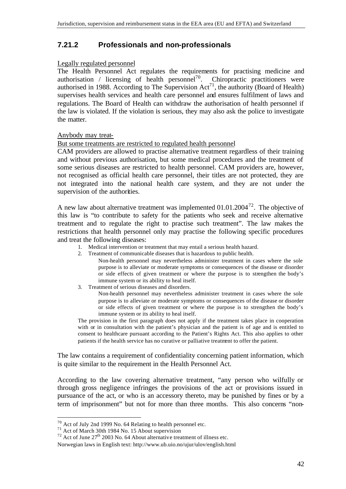### **7.21.2 Professionals and non-professionals**

#### Legally regulated personnel

The Health Personnel Act regulates the requirements for practising medicine and authorisation / licensing of health personnel<sup>70</sup>. Chiropractic practitioners were authorised in 1988. According to The Supervision  $Act^{71}$ , the authority (Board of Health) supervises health services and health care personnel and ensures fulfilment of laws and regulations. The Board of Health can withdraw the authorisation of health personnel if the law is violated. If the violation is serious, they may also ask the police to investigate the matter.

#### Anybody may treat-

But some treatments are restricted to regulated health personnel

CAM providers are allowed to practise alternative treatment regardless of their training and without previous authorisation, but some medical procedures and the treatment of some serious diseases are restricted to health personnel. CAM providers are, however, not recognised as official health care personnel, their titles are not protected, they are not integrated into the national health care system, and they are not under the supervision of the authorities.

A new law about alternative treatment was implemented  $01.01.2004^{72}$ . The objective of this law is "to contribute to safety for the patients who seek and receive alternative treatment and to regulate the right to practise such treatment". The law makes the restrictions that health personnel only may practise the following specific procedures and treat the following diseases:

- 1. Medical intervention or treatment that may entail a serious health hazard.
- 2. Treatment of communicable diseases that is hazardous to public health.
	- Non-health personnel may nevertheless administer treatment in cases where the sole purpose is to alleviate or moderate symptoms or consequences of the disease or disorder or side effects of given treatment or where the purpose is to strengthen the body's immune system or its ability to heal itself.
- 3. Treatment of serious diseases and disorders.

Non-health personnel may nevertheless administer treatment in cases where the sole purpose is to alleviate or moderate symptoms or consequences of the disease or disorder or side effects of given treatment or where the purpose is to strengthen the body's immune system or its ability to heal itself.

The provision in the first paragraph does not apply if the treatment takes place in cooperation with or in consultation with the patient's physician and the patient is of age and is entitled to consent to healthcare pursuant according to the Patient's Rights Act. This also applies to other patients if the health service has no curative or palliative treatment to offer the patient.

The law contains a requirement of confidentiality concerning patient information, which is quite similar to the requirement in the Health Personnel Act.

According to the law covering alternative treatment, "any person who wilfully or through gross negligence infringes the provisions of the act or provisions issued in pursuance of the act, or who is an accessory thereto, may be punished by fines or by a term of imprisonment" but not for more than three months. This also concerns "non-

<sup>70</sup> Act of July 2nd 1999 No. 64 Relating to health personnel etc.

 $71$  Act of March 30th 1984 No. 15 About supervision

 $72$  Act of June  $27<sup>th</sup>$  2003 No. 64 About alternative treatment of illness etc.

Norwegian laws in English text: http://www.ub.uio.no/ujur/ulov/english.html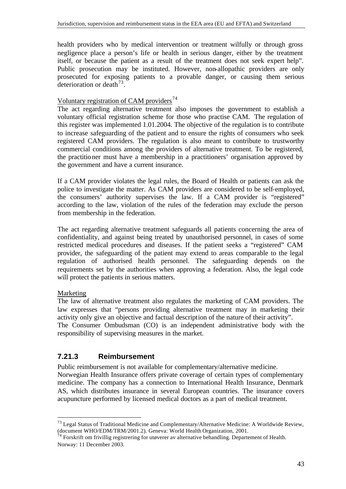health providers who by medical intervention or treatment wilfully or through gross negligence place a person's life or health in serious danger, either by the treatment itself, or because the patient as a result of the treatment does not seek expert help". Public prosecution may be instituted. However, non-allopathic providers are only prosecuted for exposing patients to a provable danger, or causing them serious deterioration or death<sup>73</sup>.

#### Voluntary registration of CAM providers $^{74}$

The act regarding alternative treatment also imposes the government to establish a voluntary official registration scheme for those who practise CAM. The regulation of this register was implemented 1.01.2004. The objective of the regulation is to contribute to increase safeguarding of the patient and to ensure the rights of consumers who seek registered CAM providers. The regulation is also meant to contribute to trustworthy commercial conditions among the providers of alternative treatment. To be registered, the practitioner must have a membership in a practitioners' organisation approved by the government and have a current insurance.

If a CAM provider violates the legal rules, the Board of Health or patients can ask the police to investigate the matter. As CAM providers are considered to be self-employed, the consumers' authority supervises the law. If a CAM provider is "registered" according to the law, violation of the rules of the federation may exclude the person from membership in the federation.

The act regarding alternative treatment safeguards all patients concerning the area of confidentiality, and against being treated by unauthorised personnel, in cases of some restricted medical procedures and diseases. If the patient seeks a "registered" CAM provider, the safeguarding of the patient may extend to areas comparable to the legal regulation of authorised health personnel. The safeguarding depends on the requirements set by the authorities when approving a federation. Also, the legal code will protect the patients in serious matters.

#### Marketing

l

The law of alternative treatment also regulates the marketing of CAM providers. The law expresses that "persons providing alternative treatment may in marketing their activity only give an objective and factual description of the nature of their activity". The Consumer Ombudsman (CO) is an independent administrative body with the responsibility of supervising measures in the market.

## **7.21.3 Reimbursement**

Public reimbursement is not available for complementary/alternative medicine.

Norwegian Health Insurance offers private coverage of certain types of complementary medicine. The company has a connection to International Health Insurance, Denmark AS, which distributes insurance in several European countries. The insurance covers acupuncture performed by licensed medical doctors as a part of medical treatment.

 $^{73}$  Legal Status of Traditional Medicine and Complementary/Alternative Medicine: A Worldwide Review, (document WHO/EDM/TRM/2001.2). Geneva: World Health Organization, 2001.

 $^{74}$  Forskrift om frivillig registrering for utøverer av alternative behandling. Departement of Health. Norway: 11 December 2003.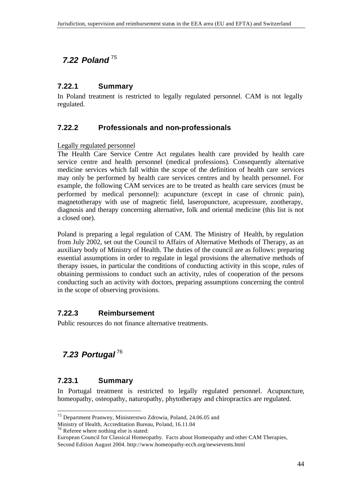# *7.22 Poland* <sup>75</sup>

## **7.22.1 Summary**

In Poland treatment is restricted to legally regulated personnel. CAM is not legally regulated.

## **7.22.2 Professionals and non-professionals**

Legally regulated personnel

The Health Care Service Centre Act regulates health care provided by health care service centre and health personnel (medical professions). Consequently alternative medicine services which fall within the scope of the definition of health care services may only be performed by health care services centres and by health personnel. For example, the following CAM services are to be treated as health care services (must be performed by medical personnel): acupuncture (except in case of chronic pain), magnetotherapy with use of magnetic field, laseropuncture, acupressure, zootherapy, diagnosis and therapy concerning alternative, folk and oriental medicine (this list is not a closed one).

Poland is preparing a legal regulation of CAM. The Ministry of Health, by regulation from July 2002, set out the Council to Affairs of Alternative Methods of Therapy, as an auxiliary body of Ministry of Health. The duties of the council are as follows: preparing essential assumptions in order to regulate in legal provisions the alternative methods of therapy issues, in particular the conditions of conducting activity in this scope, rules of obtaining permissions to conduct such an activity, rules of cooperation of the persons conducting such an activity with doctors, preparing assumptions concerning the control in the scope of observing provisions.

## **7.22.3 Reimbursement**

Public resources do not finance alternative treatments.

# *7.23 Portugal* <sup>76</sup>

## **7.23.1 Summary**

l

In Portugal treatment is restricted to legally regulated personnel. Acupuncture, homeopathy, osteopathy, naturopathy, phytotherapy and chiropractics are regulated.

<sup>75</sup> Department Pranwny, Ministerstwo Zdrowia, Poland, 24.06.05 and

Ministry of Health, Accreditation Bureau, Poland, 16.11.04

<sup>76</sup> Referee where nothing else is stated:

European Council for Classical Homeopathy. Facts about Homeopathy and other CAM Therapies, Second Edition August 2004. http://www.homeopathy-ecch.org/newsevents.html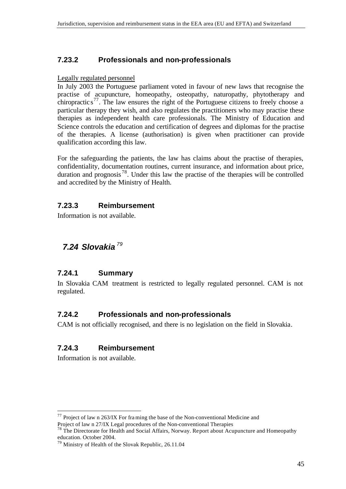## **7.23.2 Professionals and non-professionals**

#### Legally regulated personnel

In July 2003 the Portuguese parliament voted in favour of new laws that recognise the practise of acupuncture, homeopathy, osteopathy, naturopathy, phytotherapy and chiropractic  $s^{77}$ . The law ensures the right of the Portuguese citizens to freely choose a particular therapy they wish, and also regulates the practitioners who may practise these therapies as independent health care professionals. The Ministry of Education and Science controls the education and certification of degrees and diplomas for the practise of the therapies. A license (authorisation) is given when practitioner can provide qualification according this law.

For the safeguarding the patients, the law has claims about the practise of therapies, confidentiality, documentation routines, current insurance, and information about price, duration and prognosis<sup>78</sup>. Under this law the practise of the therapies will be controlled and accredited by the Ministry of Health.

#### **7.23.3 Reimbursement**

Information is not available.

## *7.24 Slovakia <sup>79</sup>*

#### **7.24.1 Summary**

In Slovakia CAM treatment is restricted to legally regulated personnel. CAM is not regulated.

#### **7.24.2 Professionals and non-professionals**

CAM is not officially recognised, and there is no legislation on the field in Slovakia.

#### **7.24.3 Reimbursement**

Information is not available.

 $^{77}$  Project of law n 263/IX For framing the base of the Non-conventional Medicine and Project of law n 27/IX Legal procedures of the Non-conventional Therapies

<sup>&</sup>lt;sup>78</sup> The Directorate for Health and Social Affairs, Norway. Report about Acupuncture and Homeopathy education. October 2004.

<sup>79</sup> Ministry of Health of the Slovak Republic, 26.11.04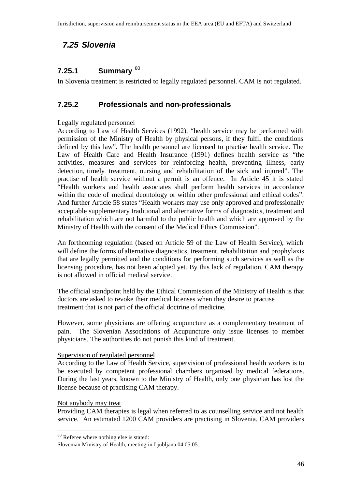## *7.25 Slovenia*

## **7.25.1 Summary** <sup>80</sup>

In Slovenia treatment is restricted to legally regulated personnel. CAM is not regulated.

### **7.25.2 Professionals and non-professionals**

#### Legally regulated personnel

According to Law of Health Services (1992), "health service may be performed with permission of the Ministry of Health by physical persons, if they fulfil the conditions defined by this law". The health personnel are licensed to practise health service. The Law of Health Care and Health Insurance (1991) defines health service as "the activities, measures and services for reinforcing health, preventing illness, early detection, timely treatment, nursing and rehabilitation of the sick and injured". The practise of health service without a permit is an offence. In Article 45 it is stated "Health workers and health associates shall perform health services in accordance within the code of medical deontology or within other professional and ethical codes". And further Article 58 states "Health workers may use only approved and professionally acceptable supplementary traditional and alternative forms of diagnostics, treatment and rehabilitation which are not harmful to the public health and which are approved by the Ministry of Health with the consent of the Medical Ethics Commission".

An forthcoming regulation (based on Article 59 of the Law of Health Service), which will define the forms of alternative diagnostics, treatment, rehabilitation and prophylaxis that are legally permitted and the conditions for performing such services as well as the licensing procedure, has not been adopted yet. By this lack of regulation, CAM therapy is not allowed in official medical service.

The official standpoint held by the Ethical Commission of the Ministry of Health is that doctors are asked to revoke their medical licenses when they desire to practise treatment that is not part of the official doctrine of medicine.

However, some physicians are offering acupuncture as a complementary treatment of pain. The Slovenian Associations of Acupuncture only issue licenses to member physicians. The authorities do not punish this kind of treatment.

#### Supervision of regulated personnel

According to the Law of Health Service, supervision of professional health workers is to be executed by competent professional chambers organised by medical federations. During the last years, known to the Ministry of Health, only one physician has lost the license because of practising CAM therapy.

#### Not anybody may treat

l

Providing CAM therapies is legal when referred to as counselling service and not health service. An estimated 1200 CAM providers are practising in Slovenia. CAM providers

 $80$  Referee where nothing else is stated:

Slovenian Ministry of Health, meeting in Ljubljana 04.05.05.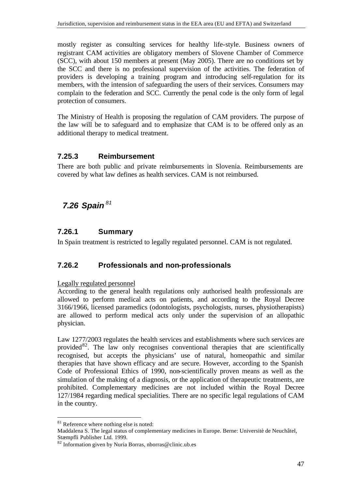mostly register as consulting services for healthy life-style. Business owners of registrant CAM activities are obligatory members of Slovene Chamber of Commerce (SCC), with about 150 members at present (May 2005). There are no conditions set by the SCC and there is no professional supervision of the activities. The federation of providers is developing a training program and introducing self-regulation for its members, with the intension of safeguarding the users of their services. Consumers may complain to the federation and SCC. Currently the penal code is the only form of legal protection of consumers.

The Ministry of Health is proposing the regulation of CAM providers. The purpose of the law will be to safeguard and to emphasize that CAM is to be offered only as an additional therapy to medical treatment.

## **7.25.3 Reimbursement**

There are both public and private reimbursements in Slovenia. Reimbursements are covered by what law defines as health services. CAM is not reimbursed.

## *7.26 Spain <sup>81</sup>*

## **7.26.1 Summary**

In Spain treatment is restricted to legally regulated personnel. CAM is not regulated.

## **7.26.2 Professionals and non-professionals**

#### Legally regulated personnel

According to the general health regulations only authorised health professionals are allowed to perform medical acts on patients, and according to the Royal Decree 3166/1966, licensed paramedics (odontologists, psychologists, nurses, physiotherapists) are allowed to perform medical acts only under the supervision of an allopathic physician.

Law 1277/2003 regulates the health services and establishments where such services are provided<sup>82</sup>. The law only recognises conventional therapies that are scientifically recognised, but accepts the physicians' use of natural, homeopathic and similar therapies that have shown efficacy and are secure. However, according to the Spanish Code of Professional Ethics of 1990, non-scientifically proven means as well as the simulation of the making of a diagnosis, or the application of therapeutic treatments, are prohibited. Complementary medicines are not included within the Royal Decree 127/1984 regarding medical specialities. There are no specific legal regulations of CAM in the country.

 $81$  Reference where nothing else is noted:

Maddalena S. The legal status of complementary medicines in Europe. Berne: Universitè de Neuchâtel, Stæmpfli Publisher Ltd. 1999.

<sup>82</sup> Information given by Nuria Borras, nborras@clinic.ub.es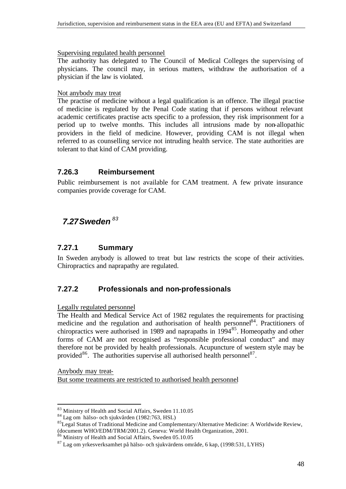Supervising regulated health personnel

The authority has delegated to The Council of Medical Colleges the supervising of physicians. The council may, in serious matters, withdraw the authorisation of a physician if the law is violated.

#### Not anybody may treat

The practise of medicine without a legal qualification is an offence. The illegal practise of medicine is regulated by the Penal Code stating that if persons without relevant academic certificates practise acts specific to a profession, they risk imprisonment for a period up to twelve months. This includes all intrusions made by non-allopathic providers in the field of medicine. However, providing CAM is not illegal when referred to as counselling service not intruding health service. The state authorities are tolerant to that kind of CAM providing.

### **7.26.3 Reimbursement**

Public reimbursement is not available for CAM treatment. A few private insurance companies provide coverage for CAM.

## *7.27Sweden <sup>83</sup>*

### **7.27.1 Summary**

In Sweden anybody is allowed to treat but law restricts the scope of their activities. Chiropractics and naprapathy are regulated.

## **7.27.2 Professionals and non-professionals**

Legally regulated personnel

The Health and Medical Service Act of 1982 regulates the requirements for practising medicine and the regulation and authorisation of health personnel<sup>84</sup>. Practitioners of chiropractics were authorised in 1989 and naprapaths in  $1994<sup>85</sup>$ . Homeopathy and other forms of CAM are not recognised as "responsible professional conduct" and may therefore not be provided by health professionals. Acupuncture of western style may be provided<sup>86</sup>. The authorities supervise all authorised health personnel<sup>87</sup>.

Anybody may treat-But some treatments are restricted to authorised health personnel

l <sup>83</sup> Ministry of Health and Social Affairs, Sweden 11.10.05

<sup>84</sup> Lag om hälso- och sjukvården (1982:763, HSL)

<sup>&</sup>lt;sup>85</sup>Legal Status of Traditional Medicine and Complementary/Alternative Medicine: A Worldwide Review, (document WHO/EDM/TRM/2001.2). Geneva: World Health Organization, 2001.

<sup>86</sup> Ministry of Health and Social Affairs, Sweden 05.10.05

<sup>87</sup> Lag om yrkesverksamhet på hälso- och sjukvärdens område, 6 kap, (1998:531, LYHS)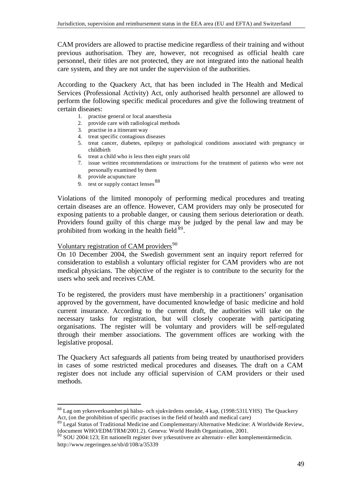CAM providers are allowed to practise medicine regardless of their training and without previous authorisation. They are, however, not recognised as official health care personnel, their titles are not protected, they are not integrated into the national health care system, and they are not under the supervision of the authorities.

According to the Quackery Act, that has been included in The Health and Medical Services (Professional Activity) Act, only authorised health personnel are allowed to perform the following specific medical procedures and give the following treatment of certain diseases:

- 1. practise general or local anaesthesia
- 2. provide care with radiological methods
- 3. practise in a itinerant way
- 4. treat specific contagious diseases
- 5. treat cancer, diabetes, epilepsy or pathological conditions associated with pregnancy or childbirth
- 6. treat a child who is less then eight years old
- 7. issue written recommendations or instructions for the treatment of patients who were not personally examined by them
- 8. provide acupuncture
- 9. test or supply contact lenses <sup>88</sup>

Violations of the limited monopoly of performing medical procedures and treating certain diseases are an offence. However, CAM providers may only be prosecuted for exposing patients to a probable danger, or causing them serious deterioration or death. Providers found guilty of this charge may be judged by the penal law and may be prohibited from working in the health field  $89$ .

## Voluntary registration of CAM providers $90$

On 10 December 2004, the Swedish government sent an inquiry report referred for consideration to establish a voluntary official register for CAM providers who are not medical physicians. The objective of the register is to contribute to the security for the users who seek and receives CAM.

To be registered, the providers must have membership in a practitioners' organisation approved by the government, have documented knowledge of basic medicine and hold current insurance. According to the current draft, the authorities will take on the necessary tasks for registration, but will closely cooperate with participating organisations. The register will be voluntary and providers will be self-regulated through their member associations. The government offices are working with the legislative proposal.

The Quackery Act safeguards all patients from being treated by unauthorised providers in cases of some restricted medical procedures and diseases. The draft on a CAM register does not include any official supervision of CAM providers or their used methods.

l <sup>88</sup> Lag om yrkesverksamhet på hälso- och sjukvärdens område, 4 kap, (1998:531LYHS) The Quackery Act, (on the prohibition of specific practises in the field of health and medical care)

<sup>&</sup>lt;sup>89</sup> Legal Status of Traditional Medicine and Complementary/Alternative Medicine: A Worldwide Review, (document WHO/EDM/TRM/2001.2). Geneva: World Health Organization, 2001.

 $90$  SOU 2004:123; Ett nationellt register över yrkesutövere av alternativ- eller komplementärmedicin. http://www.regeringen.se/sb/d/108/a/35339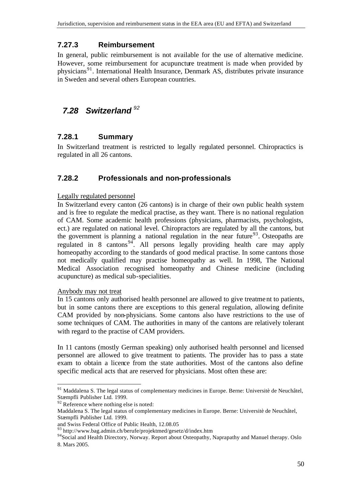## **7.27.3 Reimbursement**

In general, public reimbursement is not available for the use of alternative medicine. However, some reimbursement for acupuncture treatment is made when provided by physicians<sup>91</sup>. International Health Insurance, Denmark AS, distributes private insurance in Sweden and several others European countries.

## *7.28 Switzerland <sup>92</sup>*

### **7.28.1 Summary**

In Switzerland treatment is restricted to legally regulated personnel. Chiropractics is regulated in all 26 cantons.

## **7.28.2 Professionals and non-professionals**

#### Legally regulated personnel

In Switzerland every canton (26 cantons) is in charge of their own public health system and is free to regulate the medical practise, as they want. There is no national regulation of CAM. Some academic health professions (physicians, pharmacists, psychologists, ect.) are regulated on national level. Chiropractors are regulated by all the cantons, but the government is planning a national regulation in the near future<sup>93</sup>. Osteopaths are regulated in 8 cantons<sup>94</sup>. All persons legally providing health care may apply homeopathy according to the standards of good medical practise. In some cantons those not medically qualified may practise homeopathy as well. In 1998, The National Medical Association recognised homeopathy and Chinese medicine (including acupuncture) as medical sub-specialities.

#### Anybody may not treat

l

In 15 cantons only authorised health personnel are allowed to give treatment to patients, but in some cantons there are exceptions to this general regulation, allowing definite CAM provided by non-physicians. Some cantons also have restrictions to the use of some techniques of CAM. The authorities in many of the cantons are relatively tolerant with regard to the practise of CAM providers.

In 11 cantons (mostly German speaking) only authorised health personnel and licensed personnel are allowed to give treatment to patients. The provider has to pass a state exam to obtain a licence from the state authorities. Most of the cantons also define specific medical acts that are reserved for physicians. Most often these are:

<sup>&</sup>lt;sup>91</sup> Maddalena S. The legal status of complementary medicines in Europe. Berne: Universitè de Neuchâtel, Stæmpfli Publisher Ltd. 1999.

 $92$  Reference where nothing else is noted:

Maddalena S. The legal status of complementary medicines in Europe. Berne: Universitè de Neuchâtel, Stæmpfli Publisher Ltd. 1999.

and Swiss Federal Office of Public Health, 12.08.05

<sup>&</sup>lt;sup>93</sup> http://www.bag.admin.ch/berufe/projektmed/gesetz/d/index.htm

<sup>&</sup>lt;sup>94</sup>Social and Health Directory, Norway. Report about Osteopathy, Naprapathy and Manuel therapy. Oslo 8. Mars 2005.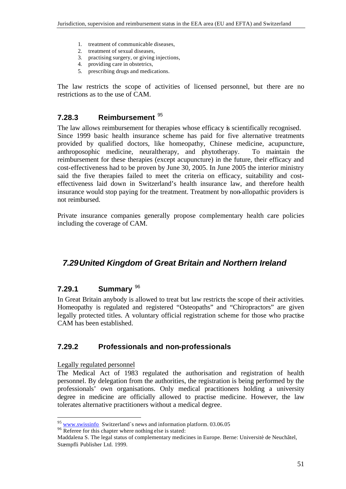- 1. treatment of communicable diseases,
- 2. treatment of sexual diseases,
- 3. practising surgery, or giving injections,
- 4. providing care in obstetrics,
- 5. prescribing drugs and medications.

The law restricts the scope of activities of licensed personnel, but there are no restrictions as to the use of CAM.

### **7.28.3 Reimbursement** <sup>95</sup>

The law allows reimbursement for therapies whose efficacy is scientifically recognised. Since 1999 basic health insurance scheme has paid for five alternative treatments provided by qualified doctors, like homeopathy, Chinese medicine, acupuncture, anthroposophic medicine, neuraltherapy, and phytotherapy. To maintain the reimbursement for these therapies (except acupuncture) in the future, their efficacy and cost-effectiveness had to be proven by June 30, 2005. In June 2005 the interior ministry said the five therapies failed to meet the criteria on efficacy, suitability and costeffectiveness laid down in Switzerland's health insurance law, and therefore health insurance would stop paying for the treatment. Treatment by non-allopathic providers is not reimbursed.

Private insurance companies generally propose complementary health care policies including the coverage of CAM.

## *7.29United Kingdom of Great Britain and Northern Ireland*

## **7.29.1 Summary** <sup>96</sup>

In Great Britain anybody is allowed to treat but law restricts the scope of their activities. Homeopathy is regulated and registered "Osteopaths" and "Chiropractors" are given legally protected titles. A voluntary official registration scheme for those who practise CAM has been established.

## **7.29.2 Professionals and non-professionals**

Legally regulated personnel

l

The Medical Act of 1983 regulated the authorisation and registration of health personnel. By delegation from the authorities, the registration is being performed by the professionals' own organisations. Only medical practitioners holding a university degree in medicine are officially allowed to practise medicine. However, the law tolerates alternative practitioners without a medical degree.

 $\frac{95}{95}$  www.swissinfo Switzerland`s news and information platform. 03.06.05

<sup>&</sup>lt;sup>96</sup> Referee for this chapter where nothing else is stated:

Maddalena S. The legal status of complementary medicines in Europe. Berne: Universitè de Neuchâtel, Stæmpfli Publisher Ltd. 1999.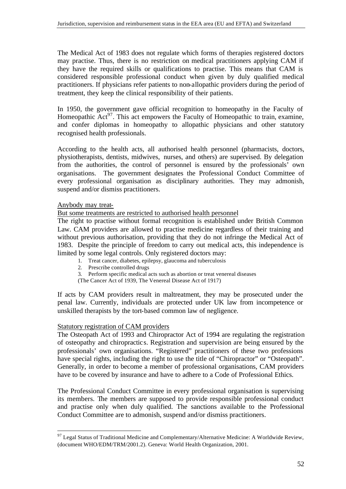The Medical Act of 1983 does not regulate which forms of therapies registered doctors may practise. Thus, there is no restriction on medical practitioners applying CAM if they have the required skills or qualifications to practise. This means that CAM is considered responsible professional conduct when given by duly qualified medical practitioners. If physicians refer patients to non-allopathic providers during the period of treatment, they keep the clinical responsibility of their patients.

In 1950, the government gave official recognition to homeopathy in the Faculty of Homeopathic  $Act^{97}$ . This act empowers the Faculty of Homeopathic to train, examine, and confer diplomas in homeopathy to allopathic physicians and other statutory recognised health professionals.

According to the health acts, all authorised health personnel (pharmacists, doctors, physiotherapists, dentists, midwives, nurses, and others) are supervised. By delegation from the authorities, the control of personnel is ensured by the professionals' own organisations. The government designates the Professional Conduct Committee of every professional organisation as disciplinary authorities. They may admonish, suspend and/or dismiss practitioners.

#### Anybody may treat-

l

But some treatments are restricted to authorised health personnel

The right to practise without formal recognition is established under British Common Law. CAM providers are allowed to practise medicine regardless of their training and without previous authorisation, providing that they do not infringe the Medical Act of 1983. Despite the principle of freedom to carry out medical acts, this independence is limited by some legal controls. Only registered doctors may:

- 1. Treat cancer, diabetes, epilepsy, glaucoma and tuberculosis
- 2. Prescribe controlled drugs
- 3. Perform specific medical acts such as abortion or treat venereal diseases
- (The Cancer Act of 1939, The Venereal Disease Act of 1917)

If acts by CAM providers result in maltreatment, they may be prosecuted under the penal law. Currently, individuals are protected under UK law from incompetence or unskilled therapists by the tort-based common law of negligence.

#### Statutory registration of CAM providers

The Osteopath Act of 1993 and Chiropractor Act of 1994 are regulating the registration of osteopathy and chiropractics. Registration and supervision are being ensured by the professionals' own organisations. "Registered" practitioners of these two professions have special rights, including the right to use the title of "Chiropractor" or "Osteopath". Generally, in order to become a member of professional organisations, CAM providers have to be covered by insurance and have to adhere to a Code of Professional Ethics.

The Professional Conduct Committee in every professional organisation is supervising its members. The members are supposed to provide responsible professional conduct and practise only when duly qualified. The sanctions available to the Professional Conduct Committee are to admonish, suspend and/or dismiss practitioners.

 $97$  Legal Status of Traditional Medicine and Complementary/Alternative Medicine: A Worldwide Review, (document WHO/EDM/TRM/2001.2). Geneva: World Health Organization, 2001.